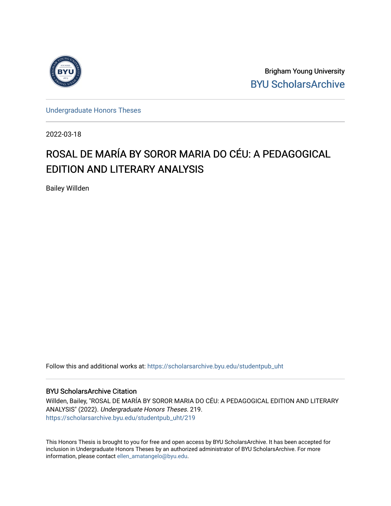

Brigham Young University [BYU ScholarsArchive](https://scholarsarchive.byu.edu/) 

[Undergraduate Honors Theses](https://scholarsarchive.byu.edu/studentpub_uht) 

2022-03-18

# ROSAL DE MARÍA BY SOROR MARIA DO CÉU: A PEDAGOGICAL **EDITION AND LITERARY ANALYSIS**

Bailey Willden

Follow this and additional works at: [https://scholarsarchive.byu.edu/studentpub\\_uht](https://scholarsarchive.byu.edu/studentpub_uht?utm_source=scholarsarchive.byu.edu%2Fstudentpub_uht%2F219&utm_medium=PDF&utm_campaign=PDFCoverPages) 

#### BYU ScholarsArchive Citation

Willden, Bailey, "ROSAL DE MARÍA BY SOROR MARIA DO CÉU: A PEDAGOGICAL EDITION AND LITERARY ANALYSIS" (2022). Undergraduate Honors Theses. 219. [https://scholarsarchive.byu.edu/studentpub\\_uht/219](https://scholarsarchive.byu.edu/studentpub_uht/219?utm_source=scholarsarchive.byu.edu%2Fstudentpub_uht%2F219&utm_medium=PDF&utm_campaign=PDFCoverPages)

This Honors Thesis is brought to you for free and open access by BYU ScholarsArchive. It has been accepted for inclusion in Undergraduate Honors Theses by an authorized administrator of BYU ScholarsArchive. For more information, please contact [ellen\\_amatangelo@byu.edu.](mailto:ellen_amatangelo@byu.edu)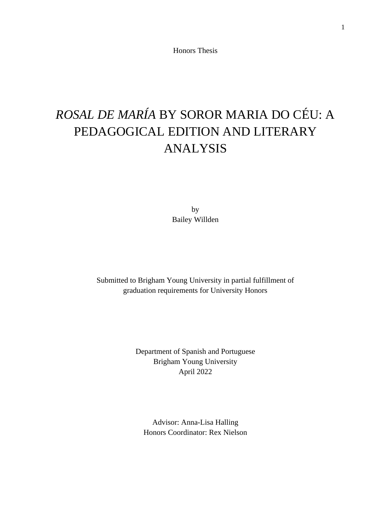Honors Thesis

# *ROSAL DE MARÍA* BY SOROR MARIA DO CÉU: A PEDAGOGICAL EDITION AND LITERARY ANALYSIS

by Bailey Willden

Submitted to Brigham Young University in partial fulfillment of graduation requirements for University Honors

> Department of Spanish and Portuguese Brigham Young University April 2022

Advisor: Anna-Lisa Halling Honors Coordinator: Rex Nielson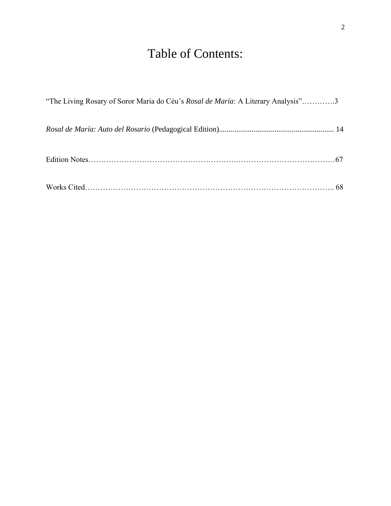# Table of Contents:

| "The Living Rosary of Soror Maria do Céu's Rosal de María: A Literary Analysis"3 |  |
|----------------------------------------------------------------------------------|--|
|                                                                                  |  |
|                                                                                  |  |
|                                                                                  |  |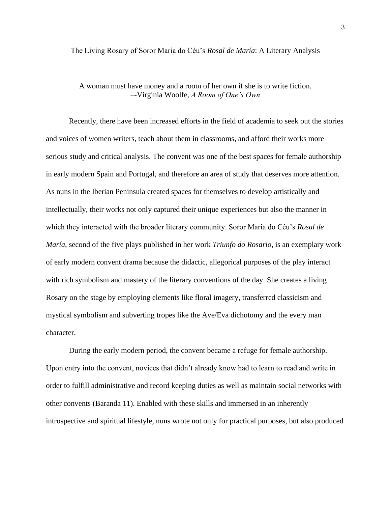#### The Living Rosary of Soror Maria do Céu's *Rosal de María*: A Literary Analysis

## A woman must have money and a room of her own if she is to write fiction. –-Virginia Woolfe, *A Room of One's Own*

Recently, there have been increased efforts in the field of academia to seek out the stories and voices of women writers, teach about them in classrooms, and afford their works more serious study and critical analysis. The convent was one of the best spaces for female authorship in early modern Spain and Portugal, and therefore an area of study that deserves more attention. As nuns in the Iberian Peninsula created spaces for themselves to develop artistically and intellectually, their works not only captured their unique experiences but also the manner in which they interacted with the broader literary community. Soror Maria do Céu's *Rosal de María*, second of the five plays published in her work *Triunfo do Rosario*, is an exemplary work of early modern convent drama because the didactic, allegorical purposes of the play interact with rich symbolism and mastery of the literary conventions of the day. She creates a living Rosary on the stage by employing elements like floral imagery, transferred classicism and mystical symbolism and subverting tropes like the Ave/Eva dichotomy and the every man character.

During the early modern period, the convent became a refuge for female authorship. Upon entry into the convent, novices that didn't already know had to learn to read and write in order to fulfill administrative and record keeping duties as well as maintain social networks with other convents (Baranda 11). Enabled with these skills and immersed in an inherently introspective and spiritual lifestyle, nuns wrote not only for practical purposes, but also produced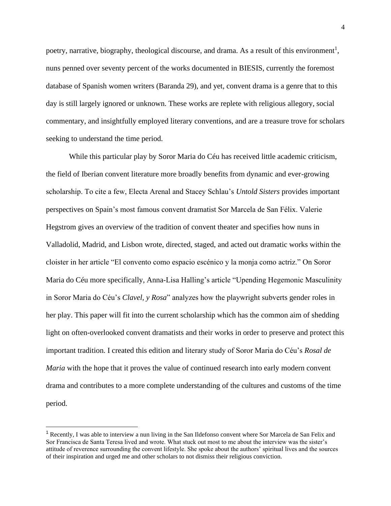poetry, narrative, biography, theological discourse, and drama. As a result of this environment<sup>1</sup>, nuns penned over seventy percent of the works documented in BIESIS, currently the foremost database of Spanish women writers (Baranda 29), and yet, convent drama is a genre that to this day is still largely ignored or unknown. These works are replete with religious allegory, social commentary, and insightfully employed literary conventions, and are a treasure trove for scholars seeking to understand the time period.

While this particular play by Soror Maria do Céu has received little academic criticism, the field of Iberian convent literature more broadly benefits from dynamic and ever-growing scholarship. To cite a few, Electa Arenal and Stacey Schlau's *Untold Sisters* provides important perspectives on Spain's most famous convent dramatist Sor Marcela de San Félix. Valerie Hegstrom gives an overview of the tradition of convent theater and specifies how nuns in Valladolid, Madrid, and Lisbon wrote, directed, staged, and acted out dramatic works within the cloister in her article "El convento como espacio escénico y la monja como actriz." On Soror Maria do Céu more specifically, Anna-Lisa Halling's article "Upending Hegemonic Masculinity in Soror Maria do Céu's *Clavel, y Rosa*" analyzes how the playwright subverts gender roles in her play. This paper will fit into the current scholarship which has the common aim of shedding light on often-overlooked convent dramatists and their works in order to preserve and protect this important tradition. I created this edition and literary study of Soror Maria do Céu's *Rosal de Maria* with the hope that it proves the value of continued research into early modern convent drama and contributes to a more complete understanding of the cultures and customs of the time period.

<sup>&</sup>lt;sup>1</sup> Recently, I was able to interview a nun living in the San Ildefonso convent where Sor Marcela de San Felix and Sor Francisca de Santa Teresa lived and wrote. What stuck out most to me about the interview was the sister's attitude of reverence surrounding the convent lifestyle. She spoke about the authors' spiritual lives and the sources of their inspiration and urged me and other scholars to not dismiss their religious conviction.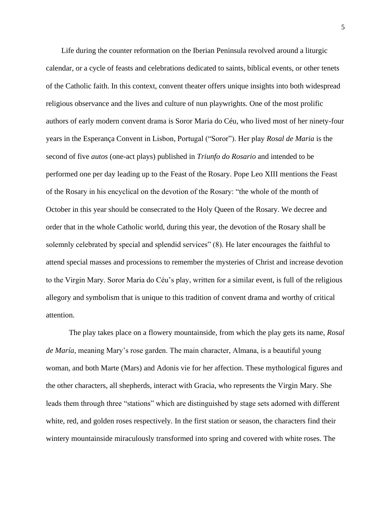Life during the counter reformation on the Iberian Peninsula revolved around a liturgic calendar, or a cycle of feasts and celebrations dedicated to saints, biblical events, or other tenets of the Catholic faith. In this context, convent theater offers unique insights into both widespread religious observance and the lives and culture of nun playwrights. One of the most prolific authors of early modern convent drama is Soror Maria do Céu, who lived most of her ninety-four years in the Esperança Convent in Lisbon, Portugal ("Soror"). Her play *Rosal de Maria* is the second of five *autos* (one-act plays) published in *Triunfo do Rosario* and intended to be performed one per day leading up to the Feast of the Rosary. Pope Leo XIII mentions the Feast of the Rosary in his encyclical on the devotion of the Rosary: "the whole of the month of October in this year should be consecrated to the Holy Queen of the Rosary. We decree and order that in the whole Catholic world, during this year, the devotion of the Rosary shall be solemnly celebrated by special and splendid services" (8). He later encourages the faithful to attend special masses and processions to remember the mysteries of Christ and increase devotion to the Virgin Mary. Soror Maria do Céu's play, written for a similar event, is full of the religious allegory and symbolism that is unique to this tradition of convent drama and worthy of critical attention.

 The play takes place on a flowery mountainside, from which the play gets its name, *Rosal de María*, meaning Mary's rose garden. The main character, Almana, is a beautiful young woman, and both Marte (Mars) and Adonis vie for her affection. These mythological figures and the other characters, all shepherds, interact with Gracia, who represents the Virgin Mary. She leads them through three "stations" which are distinguished by stage sets adorned with different white, red, and golden roses respectively. In the first station or season, the characters find their wintery mountainside miraculously transformed into spring and covered with white roses. The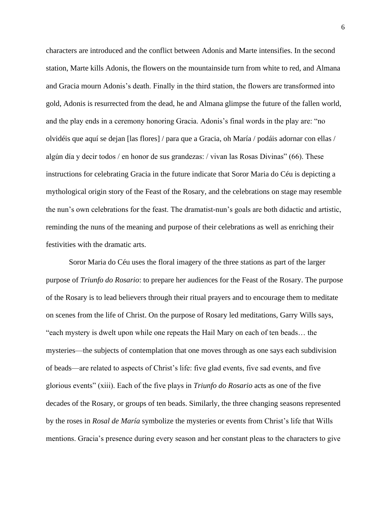characters are introduced and the conflict between Adonis and Marte intensifies. In the second station, Marte kills Adonis, the flowers on the mountainside turn from white to red, and Almana and Gracia mourn Adonis's death. Finally in the third station, the flowers are transformed into gold, Adonis is resurrected from the dead, he and Almana glimpse the future of the fallen world, and the play ends in a ceremony honoring Gracia. Adonis's final words in the play are: "no olvidéis que aquí se dejan [las flores] / para que a Gracia, oh María / podáis adornar con ellas / algún día y decir todos / en honor de sus grandezas: / vivan las Rosas Divinas" (66). These instructions for celebrating Gracia in the future indicate that Soror Maria do Céu is depicting a mythological origin story of the Feast of the Rosary, and the celebrations on stage may resemble the nun's own celebrations for the feast. The dramatist-nun's goals are both didactic and artistic, reminding the nuns of the meaning and purpose of their celebrations as well as enriching their festivities with the dramatic arts.

 Soror Maria do Céu uses the floral imagery of the three stations as part of the larger purpose of *Triunfo do Rosario*: to prepare her audiences for the Feast of the Rosary. The purpose of the Rosary is to lead believers through their ritual prayers and to encourage them to meditate on scenes from the life of Christ. On the purpose of Rosary led meditations, Garry Wills says, "each mystery is dwelt upon while one repeats the Hail Mary on each of ten beads… the mysteries—the subjects of contemplation that one moves through as one says each subdivision of beads—are related to aspects of Christ's life: five glad events, five sad events, and five glorious events" (xiii). Each of the five plays in *Triunfo do Rosario* acts as one of the five decades of the Rosary, or groups of ten beads. Similarly, the three changing seasons represented by the roses in *Rosal de María* symbolize the mysteries or events from Christ's life that Wills mentions. Gracia's presence during every season and her constant pleas to the characters to give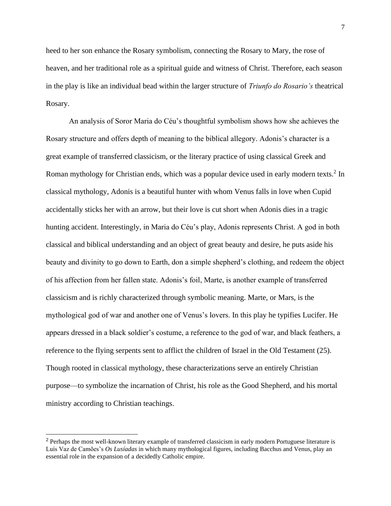heed to her son enhance the Rosary symbolism, connecting the Rosary to Mary, the rose of heaven, and her traditional role as a spiritual guide and witness of Christ. Therefore, each season in the play is like an individual bead within the larger structure of *Triunfo do Rosario's* theatrical Rosary.

 An analysis of Soror Maria do Céu's thoughtful symbolism shows how she achieves the Rosary structure and offers depth of meaning to the biblical allegory. Adonis's character is a great example of transferred classicism, or the literary practice of using classical Greek and Roman mythology for Christian ends, which was a popular device used in early modern texts.<sup>2</sup> In classical mythology, Adonis is a beautiful hunter with whom Venus falls in love when Cupid accidentally sticks her with an arrow, but their love is cut short when Adonis dies in a tragic hunting accident. Interestingly, in Maria do Céu's play, Adonis represents Christ. A god in both classical and biblical understanding and an object of great beauty and desire, he puts aside his beauty and divinity to go down to Earth, don a simple shepherd's clothing, and redeem the object of his affection from her fallen state. Adonis's foil, Marte, is another example of transferred classicism and is richly characterized through symbolic meaning. Marte, or Mars, is the mythological god of war and another one of Venus's lovers. In this play he typifies Lucifer. He appears dressed in a black soldier's costume, a reference to the god of war, and black feathers, a reference to the flying serpents sent to afflict the children of Israel in the Old Testament (25). Though rooted in classical mythology, these characterizations serve an entirely Christian purpose—to symbolize the incarnation of Christ, his role as the Good Shepherd, and his mortal ministry according to Christian teachings.

<sup>&</sup>lt;sup>2</sup> Perhaps the most well-known literary example of transferred classicism in early modern Portuguese literature is Luís Vaz de Camões's *Os Lusíadas* in which many mythological figures, including Bacchus and Venus, play an essential role in the expansion of a decidedly Catholic empire.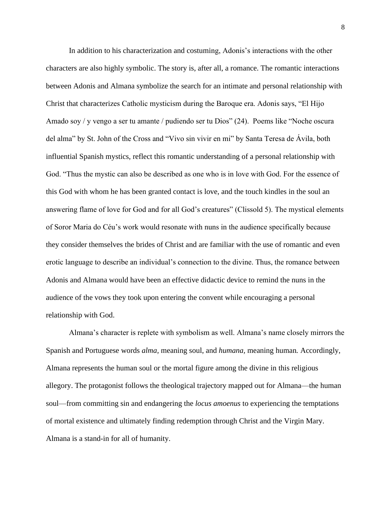In addition to his characterization and costuming, Adonis's interactions with the other characters are also highly symbolic. The story is, after all, a romance. The romantic interactions between Adonis and Almana symbolize the search for an intimate and personal relationship with Christ that characterizes Catholic mysticism during the Baroque era. Adonis says, "El Hijo Amado soy / y vengo a ser tu amante / pudiendo ser tu Dios" (24). Poems like "Noche oscura del alma" by St. John of the Cross and "Vivo sin vivir en mi" by Santa Teresa de Ávila, both influential Spanish mystics, reflect this romantic understanding of a personal relationship with God. "Thus the mystic can also be described as one who is in love with God. For the essence of this God with whom he has been granted contact is love, and the touch kindles in the soul an answering flame of love for God and for all God's creatures" (Clissold 5). The mystical elements of Soror Maria do Céu's work would resonate with nuns in the audience specifically because they consider themselves the brides of Christ and are familiar with the use of romantic and even erotic language to describe an individual's connection to the divine. Thus, the romance between Adonis and Almana would have been an effective didactic device to remind the nuns in the audience of the vows they took upon entering the convent while encouraging a personal relationship with God.

 Almana's character is replete with symbolism as well. Almana's name closely mirrors the Spanish and Portuguese words *alma,* meaning soul, and *humana,* meaning human*.* Accordingly, Almana represents the human soul or the mortal figure among the divine in this religious allegory. The protagonist follows the theological trajectory mapped out for Almana—the human soul—from committing sin and endangering the *locus amoenus* to experiencing the temptations of mortal existence and ultimately finding redemption through Christ and the Virgin Mary. Almana is a stand-in for all of humanity.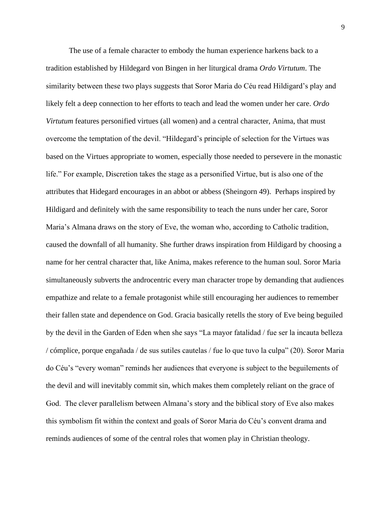The use of a female character to embody the human experience harkens back to a tradition established by Hildegard von Bingen in her liturgical drama *Ordo Virtutum*. The similarity between these two plays suggests that Soror Maria do Céu read Hildigard's play and likely felt a deep connection to her efforts to teach and lead the women under her care. *Ordo Virtutum* features personified virtues (all women) and a central character, Anima, that must overcome the temptation of the devil. "Hildegard's principle of selection for the Virtues was based on the Virtues appropriate to women, especially those needed to persevere in the monastic life." For example, Discretion takes the stage as a personified Virtue, but is also one of the attributes that Hidegard encourages in an abbot or abbess (Sheingorn 49). Perhaps inspired by Hildigard and definitely with the same responsibility to teach the nuns under her care, Soror Maria's Almana draws on the story of Eve, the woman who, according to Catholic tradition, caused the downfall of all humanity. She further draws inspiration from Hildigard by choosing a name for her central character that, like Anima, makes reference to the human soul. Soror Maria simultaneously subverts the androcentric every man character trope by demanding that audiences empathize and relate to a female protagonist while still encouraging her audiences to remember their fallen state and dependence on God. Gracia basically retells the story of Eve being beguiled by the devil in the Garden of Eden when she says "La mayor fatalidad / fue ser la incauta belleza / cómplice, porque engañada / de sus sutiles cautelas / fue lo que tuvo la culpa" (20). Soror Maria do Céu's "every woman" reminds her audiences that everyone is subject to the beguilements of the devil and will inevitably commit sin, which makes them completely reliant on the grace of God. The clever parallelism between Almana's story and the biblical story of Eve also makes this symbolism fit within the context and goals of Soror Maria do Céu's convent drama and reminds audiences of some of the central roles that women play in Christian theology.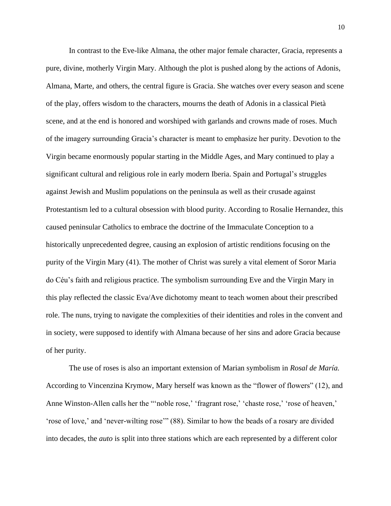In contrast to the Eve-like Almana, the other major female character, Gracia, represents a pure, divine, motherly Virgin Mary. Although the plot is pushed along by the actions of Adonis, Almana, Marte, and others, the central figure is Gracia. She watches over every season and scene of the play, offers wisdom to the characters, mourns the death of Adonis in a classical Pietà scene, and at the end is honored and worshiped with garlands and crowns made of roses. Much of the imagery surrounding Gracia's character is meant to emphasize her purity. Devotion to the Virgin became enormously popular starting in the Middle Ages, and Mary continued to play a significant cultural and religious role in early modern Iberia. Spain and Portugal's struggles against Jewish and Muslim populations on the peninsula as well as their crusade against Protestantism led to a cultural obsession with blood purity. According to Rosalie Hernandez, this caused peninsular Catholics to embrace the doctrine of the Immaculate Conception to a historically unprecedented degree, causing an explosion of artistic renditions focusing on the purity of the Virgin Mary (41). The mother of Christ was surely a vital element of Soror Maria do Céu's faith and religious practice. The symbolism surrounding Eve and the Virgin Mary in this play reflected the classic Eva/Ave dichotomy meant to teach women about their prescribed role. The nuns, trying to navigate the complexities of their identities and roles in the convent and in society, were supposed to identify with Almana because of her sins and adore Gracia because of her purity.

 The use of roses is also an important extension of Marian symbolism in *Rosal de María.* According to Vincenzina Krymow, Mary herself was known as the "flower of flowers" (12), and Anne Winston-Allen calls her the "'noble rose,' 'fragrant rose,' 'chaste rose,' 'rose of heaven,' 'rose of love,' and 'never-wilting rose'" (88). Similar to how the beads of a rosary are divided into decades, the *auto* is split into three stations which are each represented by a different color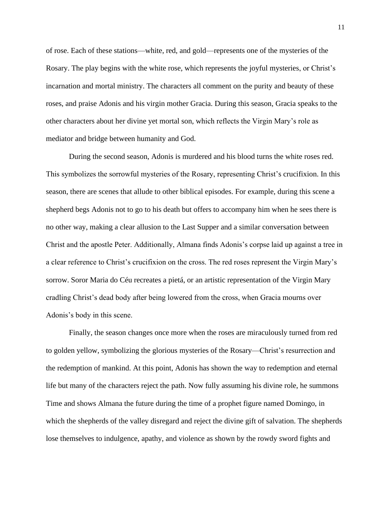of rose. Each of these stations—white, red, and gold—represents one of the mysteries of the Rosary. The play begins with the white rose, which represents the joyful mysteries, or Christ's incarnation and mortal ministry. The characters all comment on the purity and beauty of these roses, and praise Adonis and his virgin mother Gracia. During this season, Gracia speaks to the other characters about her divine yet mortal son, which reflects the Virgin Mary's role as mediator and bridge between humanity and God.

 During the second season, Adonis is murdered and his blood turns the white roses red. This symbolizes the sorrowful mysteries of the Rosary, representing Christ's crucifixion. In this season, there are scenes that allude to other biblical episodes. For example, during this scene a shepherd begs Adonis not to go to his death but offers to accompany him when he sees there is no other way, making a clear allusion to the Last Supper and a similar conversation between Christ and the apostle Peter. Additionally, Almana finds Adonis's corpse laid up against a tree in a clear reference to Christ's crucifixion on the cross. The red roses represent the Virgin Mary's sorrow. Soror Maria do Céu recreates a pietá, or an artistic representation of the Virgin Mary cradling Christ's dead body after being lowered from the cross, when Gracia mourns over Adonis's body in this scene.

 Finally, the season changes once more when the roses are miraculously turned from red to golden yellow, symbolizing the glorious mysteries of the Rosary—Christ's resurrection and the redemption of mankind. At this point, Adonis has shown the way to redemption and eternal life but many of the characters reject the path. Now fully assuming his divine role, he summons Time and shows Almana the future during the time of a prophet figure named Domingo, in which the shepherds of the valley disregard and reject the divine gift of salvation. The shepherds lose themselves to indulgence, apathy, and violence as shown by the rowdy sword fights and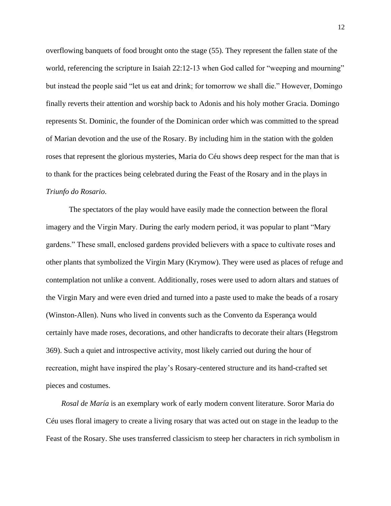overflowing banquets of food brought onto the stage (55). They represent the fallen state of the world, referencing the scripture in Isaiah 22:12-13 when God called for "weeping and mourning" but instead the people said "let us eat and drink; for tomorrow we shall die." However, Domingo finally reverts their attention and worship back to Adonis and his holy mother Gracia. Domingo represents St. Dominic, the founder of the Dominican order which was committed to the spread of Marian devotion and the use of the Rosary. By including him in the station with the golden roses that represent the glorious mysteries, Maria do Céu shows deep respect for the man that is to thank for the practices being celebrated during the Feast of the Rosary and in the plays in *Triunfo do Rosario*.

 The spectators of the play would have easily made the connection between the floral imagery and the Virgin Mary. During the early modern period, it was popular to plant "Mary gardens." These small, enclosed gardens provided believers with a space to cultivate roses and other plants that symbolized the Virgin Mary (Krymow). They were used as places of refuge and contemplation not unlike a convent. Additionally, roses were used to adorn altars and statues of the Virgin Mary and were even dried and turned into a paste used to make the beads of a rosary (Winston-Allen). Nuns who lived in convents such as the Convento da Esperança would certainly have made roses, decorations, and other handicrafts to decorate their altars (Hegstrom 369). Such a quiet and introspective activity, most likely carried out during the hour of recreation, might have inspired the play's Rosary-centered structure and its hand-crafted set pieces and costumes.

 *Rosal de María* is an exemplary work of early modern convent literature. Soror Maria do Céu uses floral imagery to create a living rosary that was acted out on stage in the leadup to the Feast of the Rosary. She uses transferred classicism to steep her characters in rich symbolism in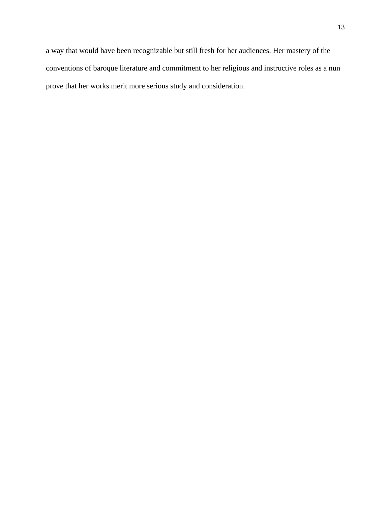a way that would have been recognizable but still fresh for her audiences. Her mastery of the conventions of baroque literature and commitment to her religious and instructive roles as a nun prove that her works merit more serious study and consideration.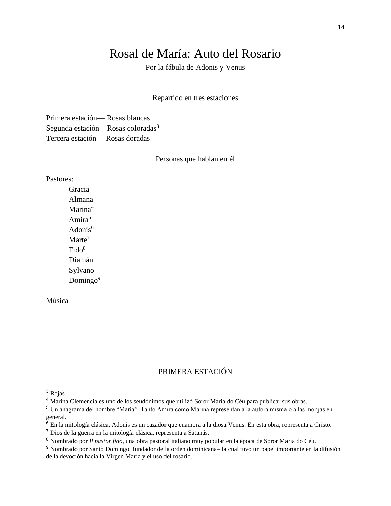# Rosal de María: Auto del Rosario

Por la fábula de Adonis y Venus

#### Repartido en tres estaciones

Primera estación— Rosas blancas Segunda estación—Rosas coloradas<sup>3</sup> Tercera estación— Rosas doradas

#### Personas que hablan en él

Pastores:

Gracia Almana Marina<sup>4</sup> Amira<sup>5</sup> Adonis<sup>6</sup> Marte<sup>7</sup>  $Fido<sup>8</sup>$ Diamán Sylvano Domingo $9$ 

Música

# PRIMERA ESTACIÓN

<sup>3</sup> Rojas

<sup>4</sup> Marina Clemencia es uno de los seudónimos que utilizó Soror Maria do Céu para publicar sus obras.

<sup>5</sup> Un anagrama del nombre "María". Tanto Amira como Marina representan a la autora misma o a las monjas en general.

 $^6$  En la mitología clásica, Adonis es un cazador que enamora a la diosa Venus. En esta obra, representa a Cristo.

<sup>7</sup> Dios de la guerra en la mitología clásica, representa a Satanás.

<sup>8</sup> Nombrado por *Il pastor fido*, una obra pastoral italiano muy popular en la época de Soror Maria do Céu.

<sup>9</sup> Nombrado por Santo Domingo, fundador de la orden dominicana– la cual tuvo un papel importante en la difusión de la devoción hacia la Virgen María y el uso del rosario.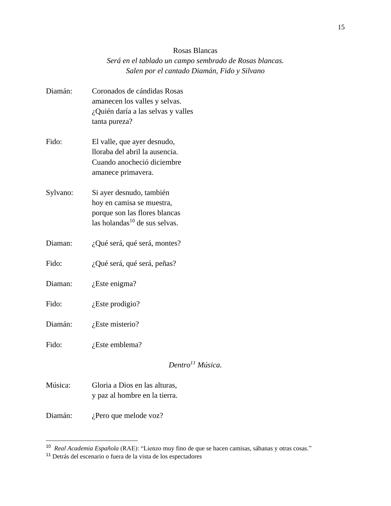### Rosas Blancas

# *Será en el tablado un campo sembrado de Rosas blancas. Salen por el cantado Diamán, Fido y Silvano*

Diamán: Coronados de cándidas Rosas amanecen los valles y selvas. ¿Quién daría a las selvas y valles tanta pureza? Fido: El valle, que ayer desnudo, lloraba del abril la ausencia. Cuando anocheció diciembre amanece primavera. Sylvano: Si ayer desnudo, también hoy en camisa se muestra, porque son las flores blancas las holandas<sup>10</sup> de sus selvas. Diaman: ¿Qué será, qué será, montes? Fido: ¿Qué será, qué será, peñas? Diaman: ¿Este enigma? Fido: *i*Este prodigio? Diamán: ¿Este misterio? Fido: *i*Este emblema? *Dentro<sup>11</sup> Música.* Música: Gloria a Dios en las alturas, y paz al hombre en la tierra. Diamán: ¿Pero que melode voz?

<sup>10</sup> *Real Academia Española* (RAE): "Lienzo muy fino de que se hacen camisas, sábanas y otras cosas."

<sup>11</sup> Detrás del escenario o fuera de la vista de los espectadores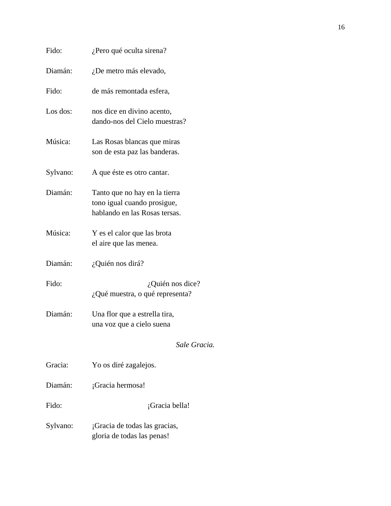| Fido:    | ¿Pero qué oculta sirena?                                                                      |
|----------|-----------------------------------------------------------------------------------------------|
| Diamán:  | ¿De metro más elevado,                                                                        |
| Fido:    | de más remontada esfera,                                                                      |
| Los dos: | nos dice en divino acento,<br>dando-nos del Cielo muestras?                                   |
| Música:  | Las Rosas blancas que miras<br>son de esta paz las banderas.                                  |
| Sylvano: | A que éste es otro cantar.                                                                    |
| Diamán:  | Tanto que no hay en la tierra<br>tono igual cuando prosigue,<br>hablando en las Rosas tersas. |
| Música:  | Y es el calor que las brota<br>el aire que las menea.                                         |
| Diamán:  | ¿Quién nos dirá?                                                                              |
| Fido:    | $i$ Quién nos dice?<br>¿Qué muestra, o qué representa?                                        |
| Diamán:  | Una flor que a estrella tira,<br>una voz que a cielo suena                                    |
|          | Sale Gracia.                                                                                  |
| Gracia:  | Yo os diré zagalejos.                                                                         |
| Diamán:  | ¡Gracia hermosa!                                                                              |
| Fido:    | ¡Gracia bella!                                                                                |
| Sylvano: | ¡Gracia de todas las gracias,<br>gloria de todas las penas!                                   |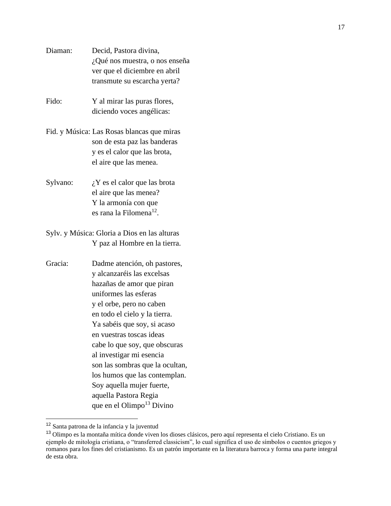| Diaman:  | Decid, Pastora divina,                       |
|----------|----------------------------------------------|
|          | ¿Qué nos muestra, o nos enseña               |
|          | ver que el diciembre en abril                |
|          | transmute su escarcha yerta?                 |
| Fido:    | Y al mirar las puras flores,                 |
|          | diciendo voces angélicas:                    |
|          | Fid. y Música: Las Rosas blancas que miras   |
|          | son de esta paz las banderas                 |
|          | y es el calor que las brota,                 |
|          | el aire que las menea.                       |
| Sylvano: | $i$ , Y es el calor que las brota            |
|          | el aire que las menea?                       |
|          | Y la armonía con que                         |
|          | es rana la Filomena <sup>12</sup> .          |
|          | Sylv. y Música: Gloria a Dios en las alturas |
|          | Y paz al Hombre en la tierra.                |
| Gracia:  | Dadme atención, oh pastores,                 |
|          | y alcanzaréis las excelsas                   |
|          | hazañas de amor que piran                    |
|          | uniformes las esferas                        |
|          | y el orbe, pero no caben                     |
|          | en todo el cielo y la tierra.                |
|          | Ya sabéis que soy, si acaso                  |
|          | en vuestras toscas ideas                     |
|          | cabe lo que soy, que obscuras                |
|          | al investigar mi esencia                     |
|          | son las sombras que la ocultan,              |
|          | los humos que las contemplan.                |
|          | Soy aquella mujer fuerte,                    |
|          | aquella Pastora Regia                        |
|          | que en el Olimpo <sup>13</sup> Divino        |

<sup>12</sup> Santa patrona de la infancia y la juventud

<sup>&</sup>lt;sup>13</sup> Olimpo es la montaña mítica donde viven los dioses clásicos, pero aquí representa el cielo Cristiano. Es un ejemplo de mitología cristiana, o "transferred classicism", lo cual significa el uso de símbolos o cuentos griegos y romanos para los fines del cristianismo. Es un patrón importante en la literatura barroca y forma una parte integral de esta obra.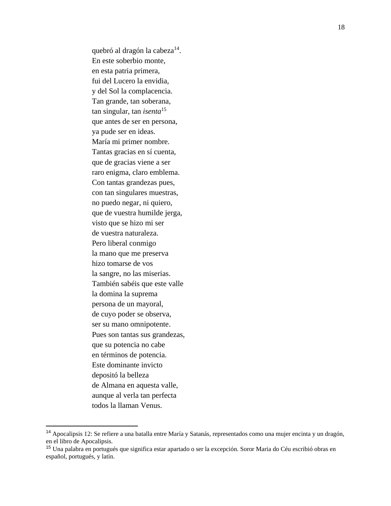quebró al dragón la cabeza<sup>14</sup>. En este soberbio monte, en esta patria primera, fui del Lucero la envidia, y del Sol la complacencia. Tan grande, tan soberana, tan singular, tan *isenta*<sup>15</sup> que antes de ser en persona, ya pude ser en ideas. María mi primer nombre. Tantas gracias en sí cuenta, que de gracias viene a ser raro enigma, claro emblema. Con tantas grandezas pues, con tan singulares muestras, no puedo negar, ni quiero, que de vuestra humilde jerga, visto que se hizo mi ser de vuestra naturaleza. Pero liberal conmigo la mano que me preserva hizo tomarse de vos la sangre, no las miserias. También sabéis que este valle la domina la suprema persona de un mayoral, de cuyo poder se observa, ser su mano omnipotente. Pues son tantas sus grandezas, que su potencia no cabe en términos de potencia. Este dominante invicto depositó la belleza de Almana en aquesta valle, aunque al verla tan perfecta todos la llaman Venus.

<sup>14</sup> Apocalipsis 12: Se refiere a una batalla entre María y Satanás, representados como una mujer encinta y un dragón, en el libro de Apocalipsis.

<sup>15</sup> Una palabra en portugués que significa estar apartado o ser la excepción. Soror Maria do Céu escribió obras en español, portugués, y latín.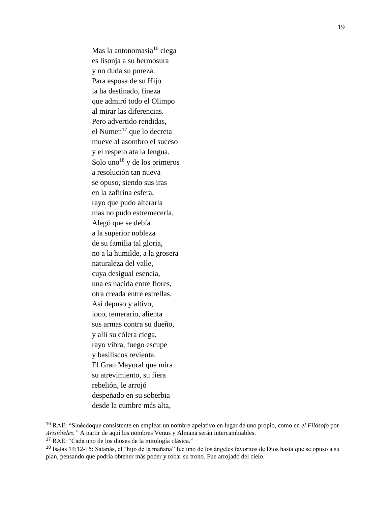Mas la antonomasia $16$  ciega es lisonja a su hermosura y no duda su pureza. Para esposa de su Hijo la ha destinado, fineza que admiró todo el Olimpo al mirar las diferencias. Pero advertido rendidas, el Numen $17$  que lo decreta mueve al asombro el suceso y el respeto ata la lengua. Solo uno<sup>18</sup> y de los primeros a resolución tan nueva se opuso, siendo sus iras en la zafirina esfera, rayo que pudo alterarla mas no pudo estremecerla. Alegó que se debía a la superior nobleza de su familia tal gloria, no a la humilde, a la grosera naturaleza del valle, cuya desigual esencia, una es nacida entre flores, otra creada entre estrellas. Así depuso y altivo, loco, temerario, alienta sus armas contra su dueño, y allí su cólera ciega, rayo vibra, fuego escupe y basiliscos revienta. El Gran Mayoral que mira su atrevimiento, su fiera rebelión, le arrojó despeñado en su soberbia desde la cumbre más alta,

<sup>16</sup> RAE: "Sinécdoque consistente en emplear un nombre apelativo en lugar de uno propio, como en *el Filósofo* por *Aristóteles."* A partir de aquí los nombres Venus y Almana serán intercambiables.

<sup>17</sup> RAE: "Cada uno de los dioses de la mitología clásica."

<sup>18</sup> Isaías 14:12-15: Satanás, el "hijo de la mañana" fue uno de los ángeles favoritos de Dios hasta que se opuso a su plan, pensando que podría obtener más poder y robar su trono. Fue arrojado del cielo.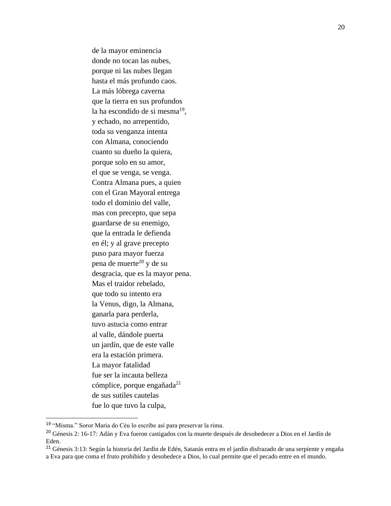de la mayor eminencia donde no tocan las nubes, porque ni las nubes llegan hasta el más profundo caos. La más lóbrega caverna que la tierra en sus profundos la ha escondido de si mesma $^{19}$ , y echado, no arrepentido, toda su venganza intenta con Almana, conociendo cuanto su dueño la quiera, porque solo en su amor, el que se venga, se venga. Contra Almana pues, a quien con el Gran Mayoral entrega todo el dominio del valle, mas con precepto, que sepa guardarse de su enemigo, que la entrada le defienda en él; y al grave precepto puso para mayor fuerza pena de muerte<sup>20</sup> y de su desgracia, que es la mayor pena. Mas el traidor rebelado, que todo su intento era la Venus, digo, la Almana, ganarla para perderla, tuvo astucia como entrar al valle, dándole puerta un jardín, que de este valle era la estación primera. La mayor fatalidad fue ser la incauta belleza cómplice, porque engañada $^{21}$  de sus sutiles cautelas fue lo que tuvo la culpa,

<sup>19</sup> "Misma." Soror Maria do Céu lo escribe así para preservar la rima.

<sup>20</sup> Génesis 2: 16-17: Adán y Eva fueron castigados con la muerte después de desobedecer a Dios en el Jardín de Eden.

<sup>&</sup>lt;sup>21</sup> Génesis 3:13: Según la historia del Jardín de Edén, Satanás entra en el jardín disfrazado de una serpiente y engaña a Eva para que coma el fruto prohibido y desobedece a Dios, lo cual permite que el pecado entre en el mundo.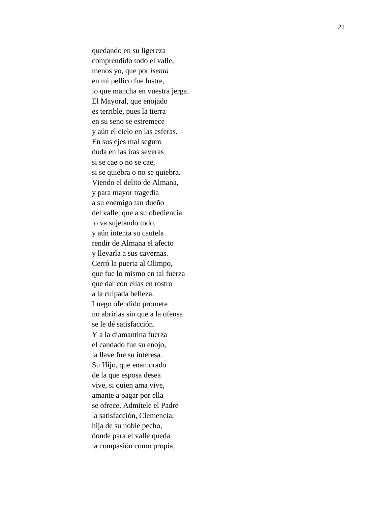quedando en su ligereza comprendido todo el valle, menos yo, que por *isenta* en mi pellico fue lustre, lo que mancha en vuestra jerga. El Mayoral, que enojado es terrible, pues la tierra en su seno se estremece y aún el cielo en las esferas. En sus ejes mal seguro duda en las iras severas si se cae o no se cae, si se quiebra o no se quiebra. Viendo el delito de Almana, y para mayor tragedia a su enemigo tan dueño del valle, que a su obediencia lo va sujetando todo, y aún intenta su cautela rendir de Almana el afecto y llevarla a sus cavernas. Cerró la puerta al Olimpo, que fue lo mismo en tal fuerza que dar con ellas en rostro a la culpada belleza. Luego ofendido promete no abrirlas sin que a la ofensa se le dé satisfacción. Y a la diamantina fuerza el candado fue su enojo, la llave fue su interesa. Su Hijo, que enamorado de la que esposa desea vive, si quien ama vive, amante a pagar por ella se ofrece. Admítele el Padre la satisfacción, Clemencia, hija de su noble pecho, donde para el valle queda la compasión como propia,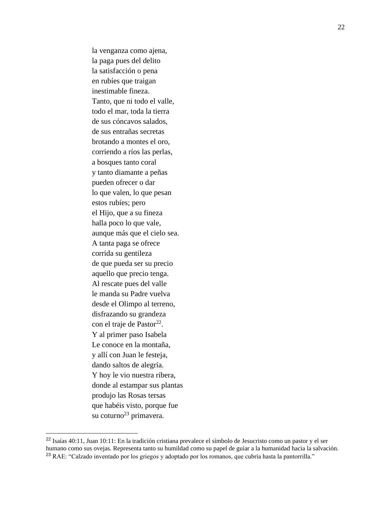la venganza como ajena, la paga pues del delito la satisfacción o pena en rubíes que traigan inestimable fineza. Tanto, que ni todo el valle, todo el mar, toda la tierra de sus cóncavos salados, de sus entrañas secretas brotando a montes el oro, corriendo a ríos las perlas, a bosques tanto coral y tanto diamante a peñas pueden ofrecer o dar lo que valen, lo que pesan estos rubíes; pero el Hijo, que a su fineza halla poco lo que vale, aunque más que el cielo sea. A tanta paga se ofrece corrida su gentileza de que pueda ser su precio aquello que precio tenga. Al rescate pues del valle le manda su Padre vuelva desde el Olimpo al terreno, disfrazando su grandeza con el traje de Pastor $^{22}$ . Y al primer paso Isabela Le conoce en la montaña, y allí con Juan le festeja, dando saltos de alegría. Y hoy le vio nuestra ribera, donde al estampar sus plantas produjo las Rosas tersas que habéis visto, porque fue su coturno $^{23}$  primavera.

<sup>22</sup> Isaías 40:11, Juan 10:11: En la tradición cristiana prevalece el símbolo de Jesucristo como un pastor y el ser humano como sus ovejas. Representa tanto su humildad como su papel de guiar a la humanidad hacia la salvación. <sup>23</sup> RAE: "Calzado inventado por los griegos y adoptado por los romanos, que cubría hasta la pantorrilla."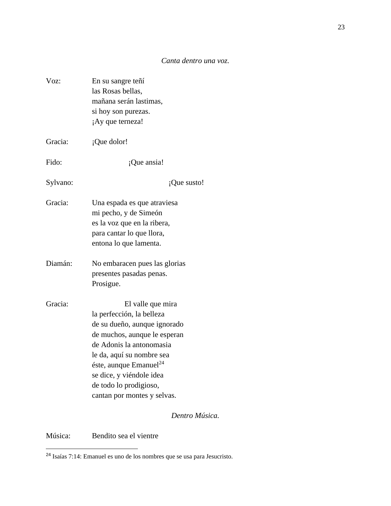# *Canta dentro una voz.*

| Voz:     | En su sangre teñí<br>las Rosas bellas,<br>mañana serán lastimas,<br>si hoy son purezas.<br>¡Ay que terneza!                                                                                                                                                                                        |
|----------|----------------------------------------------------------------------------------------------------------------------------------------------------------------------------------------------------------------------------------------------------------------------------------------------------|
| Gracia:  | ¡Que dolor!                                                                                                                                                                                                                                                                                        |
| Fido:    | ¡Que ansia!                                                                                                                                                                                                                                                                                        |
| Sylvano: | ¡Que susto!                                                                                                                                                                                                                                                                                        |
| Gracia:  | Una espada es que atraviesa<br>mi pecho, y de Simeón<br>es la voz que en la ribera,<br>para cantar lo que llora,<br>entona lo que lamenta.                                                                                                                                                         |
| Diamán:  | No embaracen pues las glorias<br>presentes pasadas penas.<br>Prosigue.                                                                                                                                                                                                                             |
| Gracia:  | El valle que mira<br>la perfección, la belleza<br>de su dueño, aunque ignorado<br>de muchos, aunque le esperan<br>de Adonis la antonomasia<br>le da, aquí su nombre sea<br>éste, aunque Emanuel <sup>24</sup><br>se dice, y viéndole idea<br>de todo lo prodigioso,<br>cantan por montes y selvas. |
|          | Dentro Música.                                                                                                                                                                                                                                                                                     |

Música: Bendito sea el vientre <u> 1990 - Johann Barbara, martin eta </u>

<sup>24</sup> Isaías 7:14: Emanuel es uno de los nombres que se usa para Jesucristo.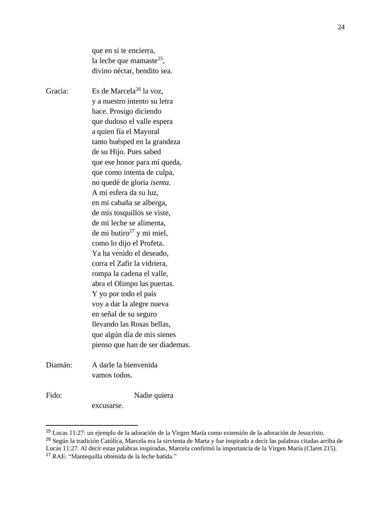que en si te encierra, la leche que mamaste<sup>25</sup>, divino néctar, bendito sea.

Gracia: Es de Marcela<sup>26</sup> la voz, y a nuestro intento su letra hace. Prosigo diciendo que dudoso el valle espera a quien fía el Mayoral tanto huésped en la grandeza de su Hijo. Pues sabed que ese honor para mí queda, que como intenta de culpa, no quedé de gloria *isenta*. A mi esfera da su luz, en mi cabaña se alberga, de mis tosquillos se viste, de mi leche se alimenta, de mi butiro<sup>27</sup> y mi miel, como lo dijo el Profeta. Ya ha venido el deseado, corra el Zafir la vidriera, rompa la cadena el valle, abra el Olimpo las puertas. Y yo por todo el país voy a dar la alegre nueva en señal de su seguro llevando las Rosas bellas, que algún día de mis sienes pienso que han de ser diademas. Diamán: A darle la bienvenida

vamos todos.

Fido: Nadie quiera excusarse.

<sup>25</sup> Lucas 11:27: un ejemplo de la adoración de la Virgen María como extensión de la adoración de Jesucristo.

<sup>&</sup>lt;sup>26</sup> Según la tradición Católica, Marcela era la sirvienta de Marta y fue inspirada a decir las palabras citadas arriba de Lucas 11:27. Al decir estas palabras inspiradas, Marcela confirmó la importancia de la Virgen María (Claret 215). <sup>27</sup> RAE: "Mantequilla obtenida de la leche batida."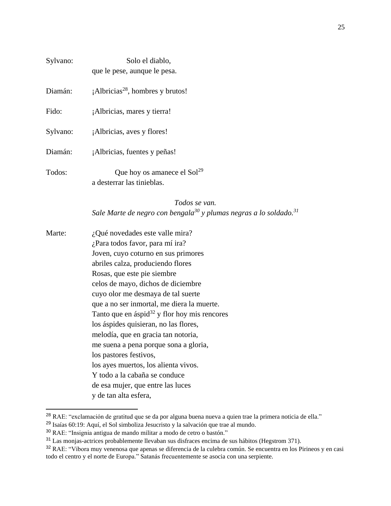| Solo el diablo,                                                                                                                                                                                                                                                                                                                                                                                                                                                                                                                                                                                                                                         |
|---------------------------------------------------------------------------------------------------------------------------------------------------------------------------------------------------------------------------------------------------------------------------------------------------------------------------------------------------------------------------------------------------------------------------------------------------------------------------------------------------------------------------------------------------------------------------------------------------------------------------------------------------------|
| que le pese, aunque le pesa.                                                                                                                                                                                                                                                                                                                                                                                                                                                                                                                                                                                                                            |
| $A1$ bricias <sup>28</sup> , hombres y brutos!                                                                                                                                                                                                                                                                                                                                                                                                                                                                                                                                                                                                          |
| ¡Albricias, mares y tierra!                                                                                                                                                                                                                                                                                                                                                                                                                                                                                                                                                                                                                             |
| ¡Albricias, aves y flores!                                                                                                                                                                                                                                                                                                                                                                                                                                                                                                                                                                                                                              |
| ¡Albricias, fuentes y peñas!                                                                                                                                                                                                                                                                                                                                                                                                                                                                                                                                                                                                                            |
| Que hoy os amanece el $Sol29$<br>a desterrar las tinieblas.                                                                                                                                                                                                                                                                                                                                                                                                                                                                                                                                                                                             |
| Todos se van.<br>Sale Marte de negro con bengala $30$ y plumas negras a lo soldado. $31$                                                                                                                                                                                                                                                                                                                                                                                                                                                                                                                                                                |
| $i$ Qué novedades este valle mira?<br>¿Para todos favor, para mí ira?<br>Joven, cuyo coturno en sus primores<br>abriles calza, produciendo flores<br>Rosas, que este pie siembre<br>celos de mayo, dichos de diciembre<br>cuyo olor me desmaya de tal suerte<br>que a no ser inmortal, me diera la muerte.<br>Tanto que en áspid $32$ y flor hoy mis rencores<br>los áspides quisieran, no las flores,<br>melodía, que en gracia tan notoria,<br>me suena a pena porque sona a gloria,<br>los pastores festivos,<br>los ayes muertos, los alienta vivos.<br>Y todo a la cabaña se conduce<br>de esa mujer, que entre las luces<br>y de tan alta esfera, |
|                                                                                                                                                                                                                                                                                                                                                                                                                                                                                                                                                                                                                                                         |

<sup>28</sup> RAE: "exclamación de gratitud que se da por alguna buena nueva a quien trae la primera noticia de ella."

<sup>29</sup> Isaías 60:19: Aquí, el Sol simboliza Jesucristo y la salvación que trae al mundo.

<sup>30</sup> RAE: "Insignia antigua de mando militar a modo de cetro o bastón."

<sup>31</sup> Las monjas-actrices probablemente llevaban sus disfraces encima de sus hábitos (Hegstrom 371).

<sup>32</sup> RAE: "Víbora muy venenosa que apenas se diferencia de la culebra común. Se encuentra en los Pirineos y en casi todo el centro y el norte de Europa." Satanás frecuentemente se asocia con una serpiente.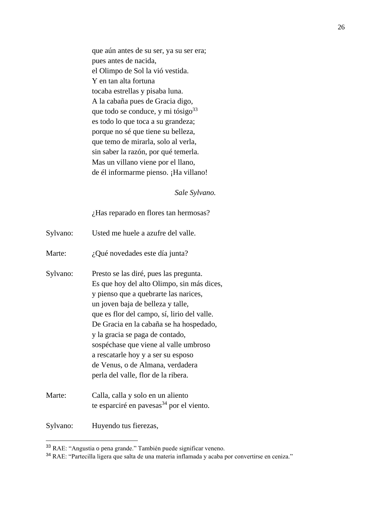que aún antes de su ser, ya su ser era; pues antes de nacida, el Olimpo de Sol la vió vestida. Y en tan alta fortuna tocaba estrellas y pisaba luna. A la cabaña pues de Gracia digo, que todo se conduce, y mi tósigo $33$ es todo lo que toca a su grandeza; porque no sé que tiene su belleza, que temo de mirarla, solo al verla, sin saber la razón, por qué temerla. Mas un villano viene por el llano, de él informarme pienso. ¡Ha villano!

#### *Sale Sylvano.*

¿Has reparado en flores tan hermosas?

| Sylvano: | Usted me huele a azufre del valle.                                                                                                                                                                                                                                                                                                                                                                                                                        |
|----------|-----------------------------------------------------------------------------------------------------------------------------------------------------------------------------------------------------------------------------------------------------------------------------------------------------------------------------------------------------------------------------------------------------------------------------------------------------------|
| Marte:   | ¿Qué novedades este día junta?                                                                                                                                                                                                                                                                                                                                                                                                                            |
| Sylvano: | Presto se las diré, pues las pregunta.<br>Es que hoy del alto Olimpo, sin más dices,<br>y pienso que a quebrarte las narices,<br>un joven baja de belleza y talle,<br>que es flor del campo, sí, lirio del valle.<br>De Gracia en la cabaña se ha hospedado,<br>y la gracia se paga de contado,<br>sospéchase que viene al valle umbroso<br>a rescatarle hoy y a ser su esposo<br>de Venus, o de Almana, verdadera<br>perla del valle, flor de la ribera. |
| Marte:   | Calla, calla y solo en un aliento<br>te esparciré en pavesas $^{34}$ por el viento.                                                                                                                                                                                                                                                                                                                                                                       |
| Sylvano: | Huyendo tus fierezas,                                                                                                                                                                                                                                                                                                                                                                                                                                     |

<sup>33</sup> RAE: "Angustia o pena grande." También puede significar veneno.

<sup>34</sup> RAE: "Partecilla ligera que salta de una materia inflamada y acaba por convertirse en ceniza."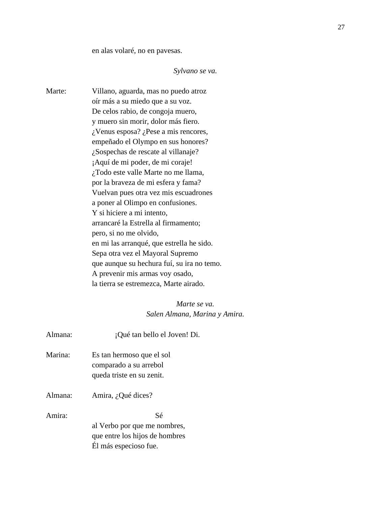en alas volaré, no en pavesas.

#### *Sylvano se va.*

Marte: Villano, aguarda, mas no puedo atroz oír más a su miedo que a su voz. De celos rabio, de congoja muero, y muero sin morir, dolor más fiero. ¿Venus esposa? ¿Pese a mis rencores, empeñado el Olympo en sus honores? ¿Sospechas de rescate al villanaje? ¡Aquí de mi poder, de mi coraje! ¿Todo este valle Marte no me llama, por la braveza de mi esfera y fama? Vuelvan pues otra vez mis escuadrones a poner al Olimpo en confusiones. Y si hiciere a mi intento, arrancaré la Estrella al firmamento; pero, si no me olvido, en mi las arranqué, que estrella he sido. Sepa otra vez el Mayoral Supremo que aunque su hechura fuí, su ira no temo. A prevenir mis armas voy osado, la tierra se estremezca, Marte airado.

# *Marte se va. Salen Almana, Marina y Amira.*

| Almana: | ¡Qué tan bello el Joven! Di.                                                                  |
|---------|-----------------------------------------------------------------------------------------------|
| Marina: | Es tan hermoso que el sol<br>comparado a su arrebol<br>queda triste en su zenit.              |
| Almana: | Amira, ¿Qué dices?                                                                            |
| Amira:  | Sé<br>al Verbo por que me nombres,<br>que entre los hijos de hombres<br>Él más especioso fue. |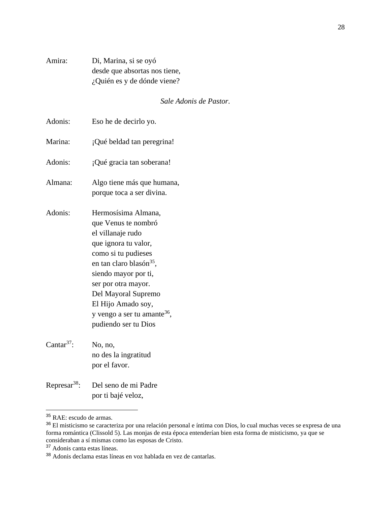| Amira: | Di, Marina, si se oyó         |
|--------|-------------------------------|
|        | desde que absortas nos tiene, |
|        | ¿Quién es y de dónde viene?   |

*Sale Adonis de Pastor.*

| Adonis:                  | Eso he de decirlo yo.                                                                                                                                                                                                                                                                                                |
|--------------------------|----------------------------------------------------------------------------------------------------------------------------------------------------------------------------------------------------------------------------------------------------------------------------------------------------------------------|
| Marina:                  | ¡Qué beldad tan peregrina!                                                                                                                                                                                                                                                                                           |
| Adonis:                  | ¡Qué gracia tan soberana!                                                                                                                                                                                                                                                                                            |
| Almana:                  | Algo tiene más que humana,<br>porque toca a ser divina.                                                                                                                                                                                                                                                              |
| Adonis:                  | Hermosísima Almana,<br>que Venus te nombró<br>el villanaje rudo<br>que ignora tu valor,<br>como si tu pudieses<br>en tan claro blasón <sup>35</sup> ,<br>siendo mayor por ti,<br>ser por otra mayor.<br>Del Mayoral Supremo<br>El Hijo Amado soy,<br>y vengo a ser tu amante <sup>36</sup> ,<br>pudiendo ser tu Dios |
| Cantar <sup>37</sup> :   | No, no,<br>no des la ingratitud<br>por el favor.                                                                                                                                                                                                                                                                     |
| Represar <sup>38</sup> : | Del seno de mi Padre<br>por ti bajé veloz,                                                                                                                                                                                                                                                                           |

<sup>35</sup> RAE: escudo de armas.

<sup>37</sup> Adonis canta estas líneas.

<sup>&</sup>lt;sup>36</sup> El misticismo se caracteriza por una relación personal e íntima con Dios, lo cual muchas veces se expresa de una forma romántica (Clissold 5). Las monjas de esta época entenderían bien esta forma de misticismo, ya que se consideraban a sí mismas como las esposas de Cristo.

<sup>38</sup> Adonis declama estas líneas en voz hablada en vez de cantarlas.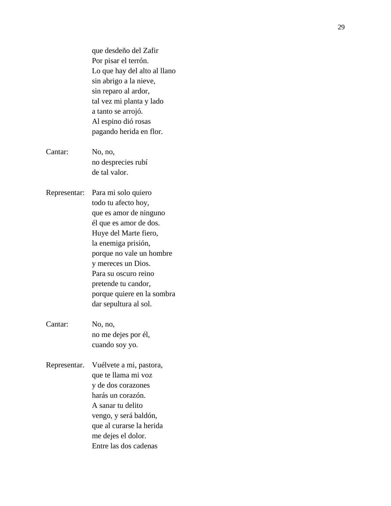|              | que desdeño del Zafir        |
|--------------|------------------------------|
|              | Por pisar el terrón.         |
|              | Lo que hay del alto al llano |
|              | sin abrigo a la nieve,       |
|              | sin reparo al ardor,         |
|              | tal vez mi planta y lado     |
|              | a tanto se arrojó.           |
|              | Al espino dió rosas          |
|              | pagando herida en flor.      |
| Cantar:      | No, no,                      |
|              | no desprecies rubí           |
|              | de tal valor.                |
| Representar: | Para mi solo quiero          |
|              | todo tu afecto hoy,          |
|              | que es amor de ninguno       |
|              | él que es amor de dos.       |
|              | Huye del Marte fiero,        |
|              | la enemiga prisión,          |
|              | porque no vale un hombre     |
|              | y mereces un Dios.           |
|              | Para su oscuro reino         |
|              | pretende tu candor,          |
|              | porque quiere en la sombra   |
|              | dar sepultura al sol.        |
| Cantar:      | No, no,                      |
|              | no me dejes por él,          |
|              | cuando soy yo.               |
| Representar. | Vuélvete a mi, pastora,      |
|              | que te llama mi voz          |
|              | y de dos corazones           |
|              | harás un corazón.            |
|              | A sanar tu delito            |
|              | vengo, y será baldón,        |
|              | que al curarse la herida     |
|              | me dejes el dolor.           |
|              | Entre las dos cadenas        |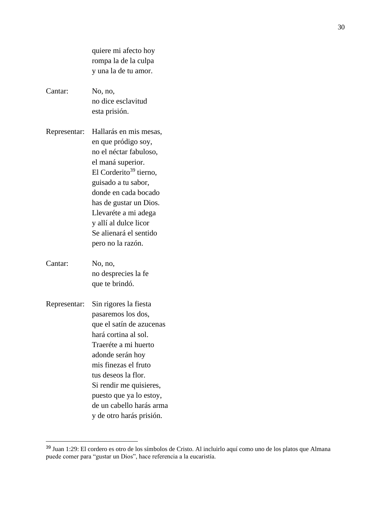|              | quiere mi afecto hoy               |
|--------------|------------------------------------|
|              | rompa la de la culpa               |
|              | y una la de tu amor.               |
| Cantar:      | No, no,                            |
|              | no dice esclavitud                 |
|              | esta prisión.                      |
| Representar: | Hallarás en mis mesas,             |
|              | en que pródigo soy,                |
|              | no el néctar fabuloso,             |
|              | el maná superior.                  |
|              | El Corderito <sup>39</sup> tierno, |
|              | guisado a tu sabor,                |
|              | donde en cada bocado               |
|              | has de gustar un Dios.             |
|              | Llevaréte a mi adega               |
|              | y allí al dulce licor              |
|              | Se alienará el sentido             |
|              | pero no la razón.                  |
| Cantar:      | No, no,                            |
|              | no desprecies la fe                |
|              | que te brindó.                     |
| Representar: | Sin rigores la fiesta              |
|              | pasaremos los dos,                 |
|              | que el satín de azucenas           |
|              | hará cortina al sol.               |
|              | Traeréte a mi huerto               |
|              | adonde serán hoy                   |
|              | mis finezas el fruto               |
|              | tus deseos la flor.                |
|              | Si rendir me quisieres,            |
|              | puesto que ya lo estoy,            |
|              | de un cabello harás arma           |
|              | y de otro harás prisión.           |

<sup>&</sup>lt;sup>39</sup> Juan 1:29: El cordero es otro de los símbolos de Cristo. Al incluirlo aquí como uno de los platos que Almana puede comer para "gustar un Dios", hace referencia a la eucaristía.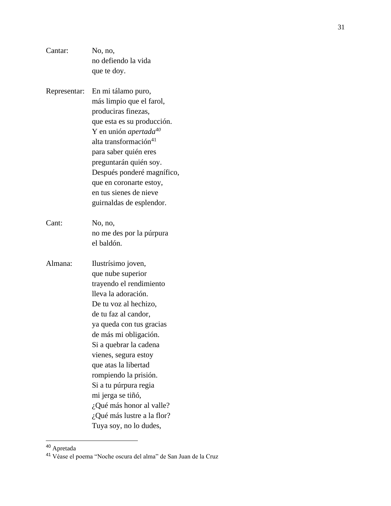| Cantar:      | No, no,                           |
|--------------|-----------------------------------|
|              | no defiendo la vida               |
|              | que te doy.                       |
| Representar: | En mi tálamo puro,                |
|              | más limpio que el farol,          |
|              | produciras finezas,               |
|              | que esta es su producción.        |
|              | Y en unión apertada <sup>40</sup> |
|              | alta transformación <sup>41</sup> |
|              | para saber quién eres             |
|              | preguntarán quién soy.            |
|              | Después ponderé magnífico,        |
|              | que en coronarte estoy,           |
|              | en tus sienes de nieve            |
|              | guirnaldas de esplendor.          |
| Cant:        | No, no,                           |
|              | no me des por la púrpura          |
|              | el baldón.                        |
| Almana:      | Ilustrísimo joven,                |
|              | que nube superior                 |
|              | trayendo el rendimiento           |
|              | lleva la adoración.               |
|              | De tu voz al hechizo,             |
|              | de tu faz al candor,              |
|              | ya queda con tus gracias          |
|              | de más mi obligación.             |
|              | Si a quebrar la cadena            |
|              | vienes, segura estoy              |
|              | que atas la libertad              |
|              | rompiendo la prisión.             |
|              | Si a tu púrpura regia             |
|              | mi jerga se tiñó,                 |
|              | ¿Qué más honor al valle?          |
|              | ¿Qué más lustre a la flor?        |
|              | Tuya soy, no lo dudes,            |

<sup>&</sup>lt;sup>40</sup> Apretada

<sup>&</sup>lt;sup>41</sup> Véase el poema "Noche oscura del alma" de San Juan de la Cruz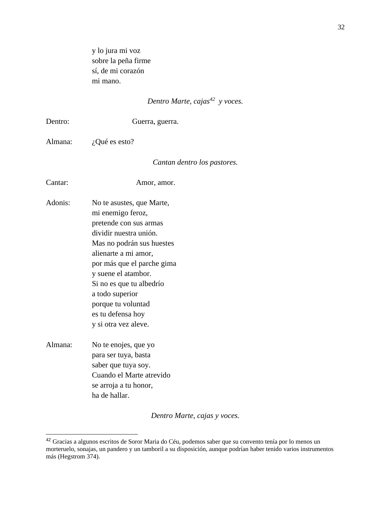y lo jura mi voz sobre la peña firme sí, de mi corazón mi mano.

# *Dentro Marte, cajas<sup>42</sup> y voces.*

| Dentro: | Guerra, guerra.                                                                                                                                                                                                                                                                                                                |  |  |  |  |  |
|---------|--------------------------------------------------------------------------------------------------------------------------------------------------------------------------------------------------------------------------------------------------------------------------------------------------------------------------------|--|--|--|--|--|
| Almana: | ¿Qué es esto?                                                                                                                                                                                                                                                                                                                  |  |  |  |  |  |
|         | Cantan dentro los pastores.                                                                                                                                                                                                                                                                                                    |  |  |  |  |  |
| Cantar: | Amor, amor.                                                                                                                                                                                                                                                                                                                    |  |  |  |  |  |
| Adonis: | No te asustes, que Marte,<br>mi enemigo feroz,<br>pretende con sus armas<br>dividir nuestra unión.<br>Mas no podrán sus huestes<br>alienarte a mi amor,<br>por más que el parche gima<br>y suene el atambor.<br>Si no es que tu albedrío<br>a todo superior<br>porque tu voluntad<br>es tu defensa hoy<br>y si otra vez aleve. |  |  |  |  |  |
| Almana: | No te enojes, que yo<br>para ser tuya, basta<br>saber que tuya soy.<br>Cuando el Marte atrevido<br>se arroja a tu honor,<br>ha de hallar.                                                                                                                                                                                      |  |  |  |  |  |

*Dentro Marte, cajas y voces.*

<sup>42</sup> Gracias a algunos escritos de Soror Maria do Céu, podemos saber que su convento tenía por lo menos un morteruelo, sonajas, un pandero y un tamboril a su disposición, aunque podrían haber tenido varios instrumentos más (Hegstrom 374).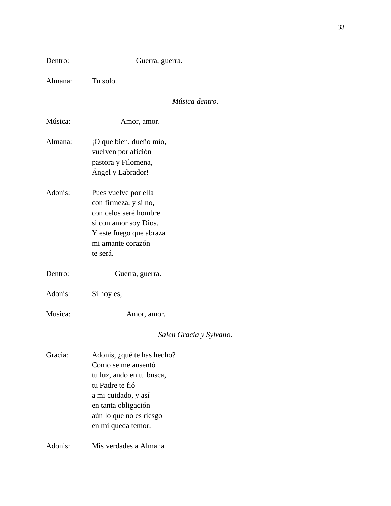| Dentro:                 | Guerra, guerra.                                                                                                                                                                                 |  |  |  |  |
|-------------------------|-------------------------------------------------------------------------------------------------------------------------------------------------------------------------------------------------|--|--|--|--|
| Almana:                 | Tu solo.                                                                                                                                                                                        |  |  |  |  |
|                         | Música dentro.                                                                                                                                                                                  |  |  |  |  |
| Música:                 | Amor, amor.                                                                                                                                                                                     |  |  |  |  |
| Almana:                 | ¡O que bien, dueño mío,<br>vuelven por afición<br>pastora y Filomena,<br>Ángel y Labrador!                                                                                                      |  |  |  |  |
| Adonis:                 | Pues vuelve por ella<br>con firmeza, y si no,<br>con celos seré hombre<br>si con amor soy Dios.<br>Y este fuego que abraza<br>mi amante corazón<br>te será.                                     |  |  |  |  |
| Dentro:                 | Guerra, guerra.                                                                                                                                                                                 |  |  |  |  |
| Adonis:                 | Si hoy es,                                                                                                                                                                                      |  |  |  |  |
| Musica:                 | Amor, amor.                                                                                                                                                                                     |  |  |  |  |
| Salen Gracia y Sylvano. |                                                                                                                                                                                                 |  |  |  |  |
| Gracia:                 | Adonis, ¿qué te has hecho?<br>Como se me ausentó<br>tu luz, ando en tu busca,<br>tu Padre te fió<br>a mi cuidado, y así<br>en tanta obligación<br>aún lo que no es riesgo<br>en mi queda temor. |  |  |  |  |
| Adonis:                 | Mis verdades a Almana                                                                                                                                                                           |  |  |  |  |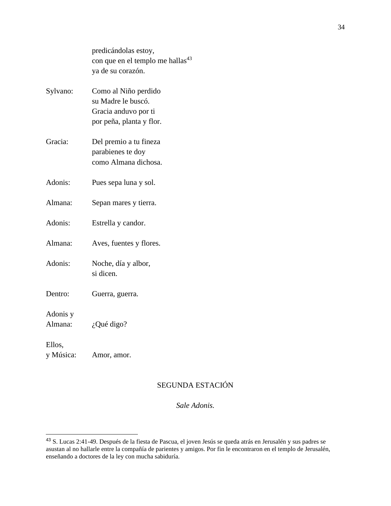|                     | predicándolas estoy,<br>con que en el templo me hallas <sup>43</sup><br>ya de su corazón.      |
|---------------------|------------------------------------------------------------------------------------------------|
| Sylvano:            | Como al Niño perdido<br>su Madre le buscó.<br>Gracia anduvo por ti<br>por peña, planta y flor. |
| Gracia:             | Del premio a tu fineza<br>parabienes te doy<br>como Almana dichosa.                            |
| Adonis:             | Pues sepa luna y sol.                                                                          |
| Almana:             | Sepan mares y tierra.                                                                          |
| Adonis:             | Estrella y candor.                                                                             |
| Almana:             | Aves, fuentes y flores.                                                                        |
| Adonis:             | Noche, día y albor,<br>si dicen.                                                               |
| Dentro:             | Guerra, guerra.                                                                                |
| Adonis y<br>Almana: | ¿Qué digo?                                                                                     |
| Ellos,<br>y Música: | Amor, amor.                                                                                    |

# SEGUNDA ESTACIÓN

*Sale Adonis.*

<sup>43</sup> S. Lucas 2:41-49. Después de la fiesta de Pascua, el joven Jesús se queda atrás en Jerusalén y sus padres se asustan al no hallarle entre la compañía de parientes y amigos. Por fin le encontraron en el templo de Jerusalén, enseñando a doctores de la ley con mucha sabiduría.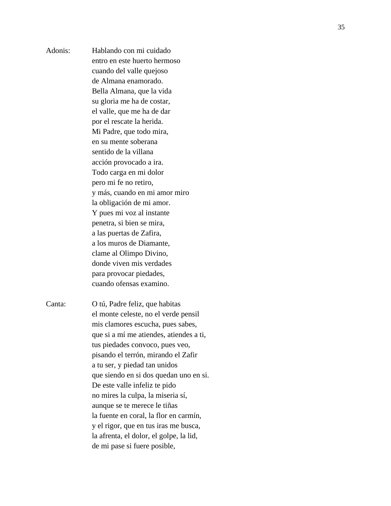- Adonis: Hablando con mi cuidado entro en este huerto hermoso cuando del valle quejoso de Almana enamorado. Bella Almana, que la vida su gloria me ha de costar, el valle, que me ha de dar por el rescate la herida. Mi Padre, que todo mira, en su mente soberana sentido de la villana acción provocado a ira. Todo carga en mi dolor pero mi fe no retiro, y más, cuando en mi amor miro la obligación de mi amor. Y pues mi voz al instante penetra, si bien se mira, a las puertas de Zafira, a los muros de Diamante, clame al Olimpo Divino, donde viven mis verdades para provocar piedades, cuando ofensas examino.
- Canta: O tú, Padre feliz, que habitas el monte celeste, no el verde pensil mis clamores escucha, pues sabes, que si a mí me atiendes, atiendes a ti, tus piedades convoco, pues veo, pisando el terrón, mirando el Zafir a tu ser, y piedad tan unidos que siendo en si dos quedan uno en si. De este valle infeliz te pido no mires la culpa, la miseria sí, aunque se te merece le tiñas la fuente en coral, la flor en carmín, y el rigor, que en tus iras me busca, la afrenta, el dolor, el golpe, la lid, de mi pase si fuere posible,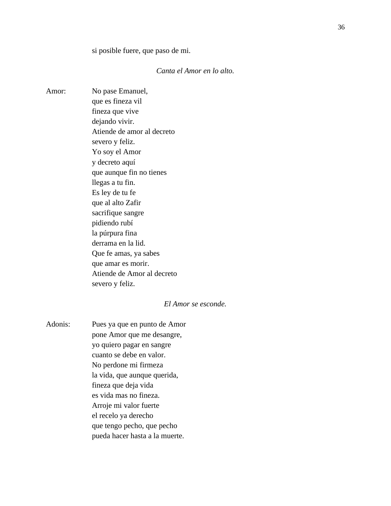si posible fuere, que paso de mi.

## *Canta el Amor en lo alto.*

Amor: No pase Emanuel, que es fineza vil fineza que vive dejando vivir. Atiende de amor al decreto severo y feliz. Yo soy el Amor y decreto aquí que aunque fin no tienes llegas a tu fin. Es ley de tu fe que al alto Zafir sacrifique sangre pidiendo rubí la púrpura fina derrama en la lid. Que fe amas, ya sabes que amar es morir. Atiende de Amor al decreto severo y feliz.

#### *El Amor se esconde.*

Adonis: Pues ya que en punto de Amor pone Amor que me desangre, yo quiero pagar en sangre cuanto se debe en valor. No perdone mi firmeza la vida, que aunque querida, fineza que deja vida es vida mas no fineza. Arroje mi valor fuerte el recelo ya derecho que tengo pecho, que pecho pueda hacer hasta a la muerte.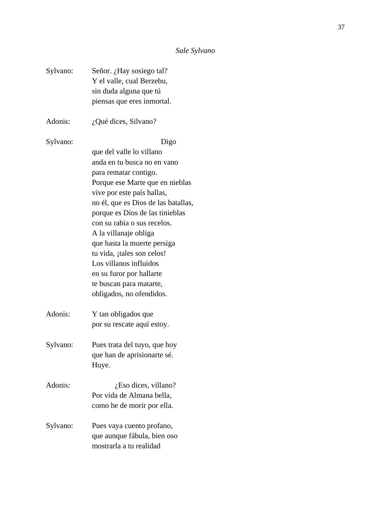| Sylvano: | Señor. ¿Hay sosiego tal?            |
|----------|-------------------------------------|
|          | Y el valle, cual Berzebu,           |
|          | sin duda alguna que tú              |
|          | piensas que eres inmortal.          |
| Adonis:  | ¿Qué dices, Silvano?                |
| Sylvano: | Digo                                |
|          | que del valle lo villano            |
|          | anda en tu busca no en vano         |
|          | para rematar contigo.               |
|          | Porque ese Marte que en nieblas     |
|          | vive por este país hallas,          |
|          | no él, que es Dios de las batallas, |
|          | porque es Dios de las tinieblas     |
|          | con su rabia o sus recelos.         |
|          | A la villanaje obliga               |
|          | que hasta la muerte persiga         |
|          | tu vida, ¡tales son celos!          |
|          | Los villanos influidos              |
|          | en su furor por hallarte            |
|          | te buscan para matarte,             |
|          | obligados, no ofendidos.            |
| Adonis:  | Y tan obligados que                 |
|          | por su rescate aquí estoy.          |
| Sylvano: | Pues trata del tuyo, que hoy        |
|          | que han de aprisionarte sé.         |
|          | Huye.                               |
|          |                                     |
| Adonis:  | ¿Eso dices, villano?                |
|          | Por vida de Almana bella,           |
|          | como he de morir por ella.          |
| Sylvano: | Pues vaya cuento profano,           |
|          | que aunque fábula, bien oso         |
|          | mostrarla a tu realidad             |
|          |                                     |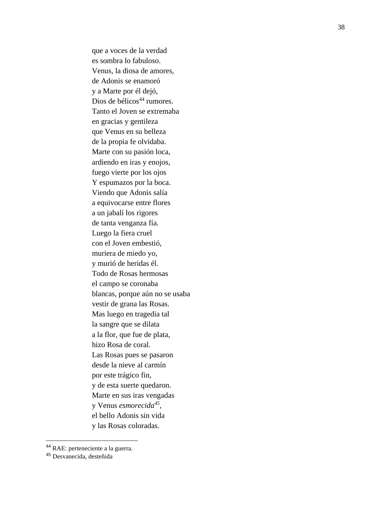que a voces de la verdad es sombra lo fabuloso. Venus, la diosa de amores, de Adonis se enamoró y a Marte por él dejó, Dios de bélicos<sup>44</sup> rumores. Tanto el Joven se extremaba en gracias y gentileza que Venus en su belleza de la propia fe olvidaba. Marte con su pasión loca, ardiendo en iras y enojos, fuego vierte por los ojos Y espumazos por la boca. Viendo que Adonis salía a equivocarse entre flores a un jabalí los rigores de tanta venganza fía. Luego la fiera cruel con el Joven embestió, muriera de miedo yo, y murió de heridas él. Todo de Rosas hermosas el campo se coronaba blancas, porque aún no se usaba vestir de grana las Rosas. Mas luego en tragedia tal la sangre que se dilata a la flor, que fue de plata, hizo Rosa de coral. Las Rosas pues se pasaron desde la nieve al carmín por este trágico fin, y de esta suerte quedaron. Marte en sus iras vengadas y Venus *esmorecida<sup>45</sup>* , el bello Adonis sin vida y las Rosas coloradas.

<sup>&</sup>lt;sup>44</sup> RAE: perteneciente a la guerra.

<sup>45</sup> Desvanecida, desteñida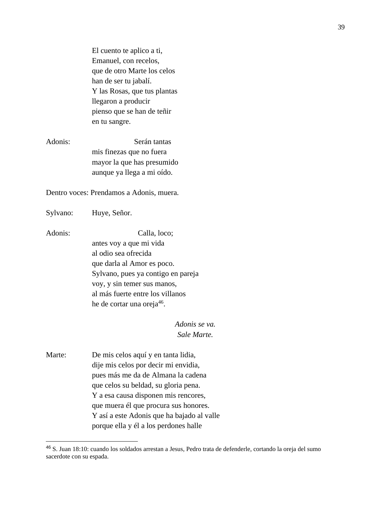El cuento te aplico a ti, Emanuel, con recelos, que de otro Marte los celos han de ser tu jabalí. Y las Rosas, que tus plantas llegaron a producir pienso que se han de teñir en tu sangre.

Adonis: Serán tantas mis finezas que no fuera mayor la que has presumido aunque ya llega a mi oído.

Dentro voces: Prendamos a Adonis, muera.

Sylvano: Huye, Señor.

Adonis: Calla, loco; antes voy a que mi vida al odio sea ofrecida que darla al Amor es poco. Sylvano, pues ya contigo en pareja voy, y sin temer sus manos, al más fuerte entre los villanos he de cortar una oreja<sup>46</sup>.

# *Adonis se va. Sale Marte.*

Marte: De mis celos aquí y en tanta lidia, dije mis celos por decir mi envidia, pues más me da de Almana la cadena que celos su beldad, su gloria pena. Y a esa causa disponen mis rencores, que muera él que procura sus honores. Y así a este Adonis que ha bajado al valle porque ella y él a los perdones halle

<sup>46</sup> S. Juan 18:10: cuando los soldados arrestan a Jesus, Pedro trata de defenderle, cortando la oreja del sumo sacerdote con su espada.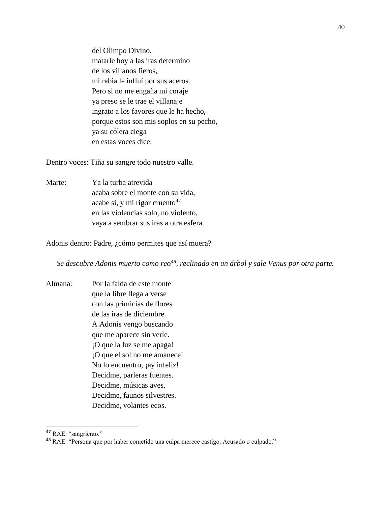del Olimpo Divino, matarle hoy a las iras determino de los villanos fieros, mi rabia le influí por sus aceros. Pero si no me engaña mi coraje ya preso se le trae el villanaje ingrato a los favores que le ha hecho, porque estos son mis soplos en su pecho, ya su cólera ciega en estas voces dice:

Dentro voces: Tiña su sangre todo nuestro valle.

Marte: Ya la turba atrevida acaba sobre el monte con su vida, acabe si, y mi rigor cruento $47$ en las violencias solo, no violento, vaya a sembrar sus iras a otra esfera.

Adonis dentro: Padre, ¿cómo permites que así muera?

*Se descubre Adonis muerto como reo<sup>48</sup>, reclinado en un árbol y sale Venus por otra parte.*

Almana: Por la falda de este monte que la libre llega a verse con las primicias de flores de las iras de diciembre. A Adonis vengo buscando que me aparece sin verle. ¡O que la luz se me apaga! ¡O que el sol no me amanece! No lo encuentro, *jay* infeliz! Decidme, parleras fuentes. Decidme, músicas aves. Decidme, faunos silvestres. Decidme, volantes ecos.

<sup>47</sup> RAE: "sangriento."

<sup>48</sup> RAE: "Persona que por haber cometido una culpa merece castigo. Acusado o culpado."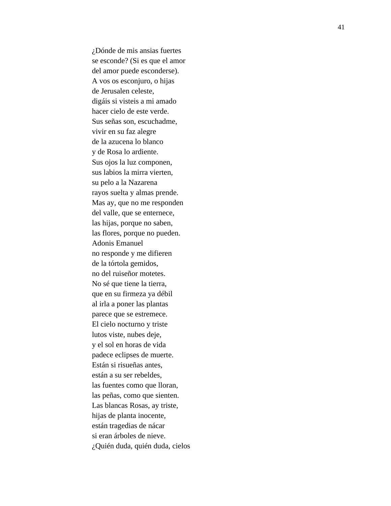¿Dónde de mis ansias fuertes se esconde? (Si es que el amor del amor puede esconderse). A vos os esconjuro, o hijas de Jerusalen celeste, digáis si visteis a mi amado hacer cielo de este verde. Sus señas son, escuchadme, vivir en su faz alegre de la azucena lo blanco y de Rosa lo ardiente. Sus ojos la luz componen, sus labios la mirra vierten, su pelo a la Nazarena rayos suelta y almas prende. Mas ay, que no me responden del valle, que se enternece, las hijas, porque no saben, las flores, porque no pueden. Adonis Emanuel no responde y me difieren de la tórtola gemidos, no del ruiseñor motetes. No sé que tiene la tierra, que en su firmeza ya débil al irla a poner las plantas parece que se estremece. El cielo nocturno y triste lutos viste, nubes deje, y el sol en horas de vida padece eclipses de muerte. Están si risueñas antes, están a su ser rebeldes, las fuentes como que lloran, las peñas, como que sienten. Las blancas Rosas, ay triste, hijas de planta inocente, están tragedias de nácar si eran árboles de nieve. ¿Quién duda, quién duda, cielos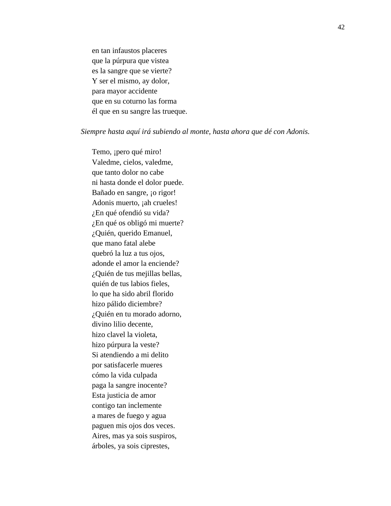en tan infaustos placeres que la púrpura que vistea es la sangre que se vierte? Y ser el mismo, ay dolor, para mayor accidente que en su coturno las forma él que en su sangre las trueque.

#### *Siempre hasta aquí irá subiendo al monte, hasta ahora que dé con Adonis.*

Temo, ¡pero qué miro! Valedme, cielos, valedme, que tanto dolor no cabe ni hasta donde el dolor puede. Bañado en sangre, ¡o rigor! Adonis muerto, ¡ah crueles! ¿En qué ofendió su vida? ¿En qué os obligó mi muerte? ¿Quién, querido Emanuel, que mano fatal alebe quebró la luz a tus ojos, adonde el amor la enciende? ¿Quién de tus mejillas bellas, quién de tus labios fieles, lo que ha sido abril florido hizo pálido diciembre? ¿Quién en tu morado adorno, divino lilio decente, hizo clavel la violeta, hizo púrpura la veste? Si atendiendo a mi delito por satisfacerle mueres cómo la vida culpada paga la sangre inocente? Esta justicia de amor contigo tan inclemente a mares de fuego y agua paguen mis ojos dos veces. Aires, mas ya sois suspiros, árboles, ya sois ciprestes,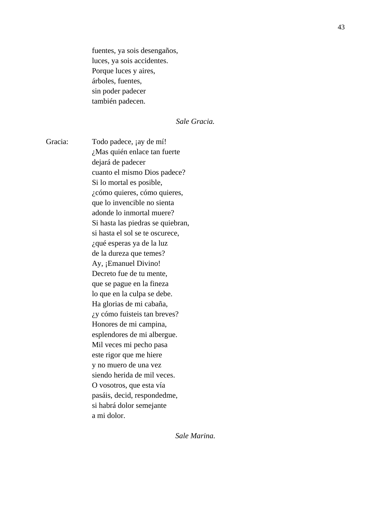fuentes, ya sois desengaños, luces, ya sois accidentes. Porque luces y aires, árboles, fuentes, sin poder padecer también padecen.

#### *Sale Gracia.*

Gracia: Todo padece, ¡ay de mí! ¿Mas quién enlace tan fuerte dejará de padecer cuanto el mismo Dios padece? Si lo mortal es posible, ¿cómo quieres, cómo quieres, que lo invencible no sienta adonde lo inmortal muere? Si hasta las piedras se quiebran, si hasta el sol se te oscurece, ¿qué esperas ya de la luz de la dureza que temes? Ay, ¡Emanuel Divino! Decreto fue de tu mente, que se pague en la fineza lo que en la culpa se debe. Ha glorias de mi cabaña, ¿y cómo fuisteis tan breves? Honores de mi campina, esplendores de mi albergue. Mil veces mi pecho pasa este rigor que me hiere y no muero de una vez siendo herida de mil veces. O vosotros, que esta vía pasáis, decid, respondedme, si habrá dolor semejante a mi dolor.

*Sale Marina.*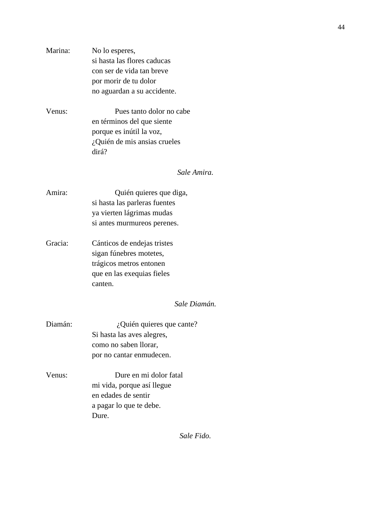| Marina: | No lo esperes,<br>si hasta las flores caducas |  |  |  |  |
|---------|-----------------------------------------------|--|--|--|--|
|         | con ser de vida tan breve                     |  |  |  |  |
|         | por morir de tu dolor                         |  |  |  |  |
|         | no aguardan a su accidente.                   |  |  |  |  |
| Venus:  | Pues tanto dolor no cabe                      |  |  |  |  |
|         | en términos del que siente                    |  |  |  |  |
|         | porque es inútil la voz,                      |  |  |  |  |
|         | ¿Quién de mis ansias crueles                  |  |  |  |  |
|         | dirá?                                         |  |  |  |  |
|         | Sale Amira.                                   |  |  |  |  |
| Amira:  | Quién quieres que diga,                       |  |  |  |  |
|         | si hasta las parleras fuentes                 |  |  |  |  |
|         | ya vierten lágrimas mudas                     |  |  |  |  |
|         | si antes murmureos perenes.                   |  |  |  |  |
| Gracia: | Cánticos de endejas tristes                   |  |  |  |  |
|         | sigan fúnebres motetes,                       |  |  |  |  |
|         | trágicos metros entonen                       |  |  |  |  |
|         | que en las exequias fieles                    |  |  |  |  |
|         | canten.                                       |  |  |  |  |
|         | Sale Diamán.                                  |  |  |  |  |
| Diamán: | $i$ Quién quieres que cante?                  |  |  |  |  |
|         | Si hasta las aves alegres,                    |  |  |  |  |
|         | como no saben llorar,                         |  |  |  |  |
|         | por no cantar enmudecen.                      |  |  |  |  |
| Venus:  | Dure en mi dolor fatal                        |  |  |  |  |
|         | mi vida, porque así llegue                    |  |  |  |  |
|         | en edades de sentir                           |  |  |  |  |
|         | a pagar lo que te debe.                       |  |  |  |  |
|         | Dure.                                         |  |  |  |  |
|         |                                               |  |  |  |  |

*Sale Fido.*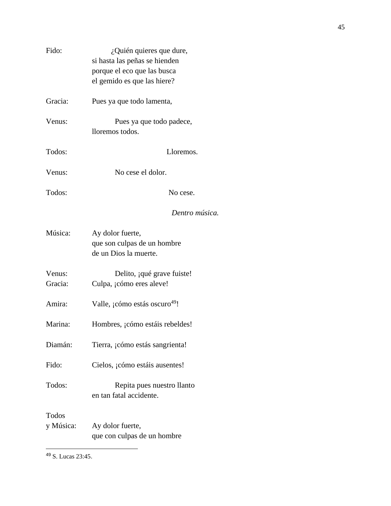| Fido:              | ¿Quién quieres que dure,<br>si hasta las peñas se hienden<br>porque el eco que las busca<br>el gemido es que las hiere? |
|--------------------|-------------------------------------------------------------------------------------------------------------------------|
| Gracia:            | Pues ya que todo lamenta,                                                                                               |
| Venus:             | Pues ya que todo padece,<br>lloremos todos.                                                                             |
| Todos:             | Lloremos.                                                                                                               |
| Venus:             | No cese el dolor.                                                                                                       |
| Todos:             | No cese.                                                                                                                |
|                    | Dentro música.                                                                                                          |
| Música:            | Ay dolor fuerte,<br>que son culpas de un hombre<br>de un Dios la muerte.                                                |
| Venus:<br>Gracia:  | Delito, qué grave fuiste!<br>Culpa, ¡cómo eres aleve!                                                                   |
| Amira:             | Valle, ¡cómo estás oscuro <sup>49</sup> !                                                                               |
| Marina:            | Hombres, ¡cómo estáis rebeldes!                                                                                         |
| Diamán:            | Tierra, ¡cómo estás sangrienta!                                                                                         |
| Fido:              | Cielos, ¡cómo estáis ausentes!                                                                                          |
| Todos:             | Repita pues nuestro llanto<br>en tan fatal accidente.                                                                   |
| Todos<br>y Música: | Ay dolor fuerte,<br>que con culpas de un hombre                                                                         |

<sup>49</sup> S. Lucas 23:45.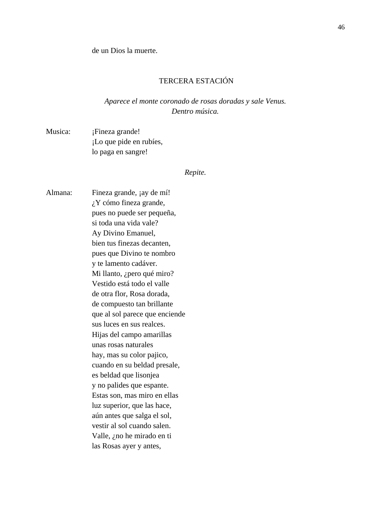de un Dios la muerte.

### TERCERA ESTACIÓN

# *Aparece el monte coronado de rosas doradas y sale Venus. Dentro música.*

| Musica: | ¡Fineza grande!         |  |  |  |  |
|---------|-------------------------|--|--|--|--|
|         | ¡Lo que pide en rubíes, |  |  |  |  |
|         | lo paga en sangre!      |  |  |  |  |

#### *Repite.*

Almana: Fineza grande, ¡ay de mí! ¿Y cómo fineza grande, pues no puede ser pequeña, si toda una vida vale? Ay Divino Emanuel, bien tus finezas decanten, pues que Divino te nombro y te lamento cadáver. Mi llanto, ¿pero qué miro? Vestido está todo el valle de otra flor, Rosa dorada, de compuesto tan brillante que al sol parece que enciende sus luces en sus realces. Hijas del campo amarillas unas rosas naturales hay, mas su color pajico, cuando en su beldad presale, es beldad que lisonjea y no palides que espante. Estas son, mas miro en ellas luz superior, que las hace, aún antes que salga el sol, vestir al sol cuando salen. Valle, ¿no he mirado en ti las Rosas ayer y antes,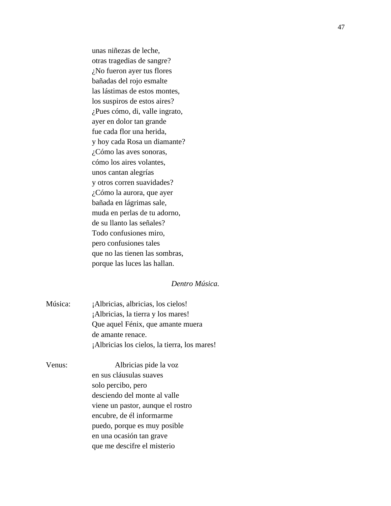unas niñezas de leche, otras tragedias de sangre? ¿No fueron ayer tus flores bañadas del rojo esmalte las lástimas de estos montes, los suspiros de estos aires? ¿Pues cómo, di, valle ingrato, ayer en dolor tan grande fue cada flor una herida, y hoy cada Rosa un diamante? ¿Cómo las aves sonoras, cómo los aires volantes, unos cantan alegrías y otros corren suavidades? ¿Cómo la aurora, que ayer bañada en lágrimas sale, muda en perlas de tu adorno, de su llanto las señales? Todo confusiones miro, pero confusiones tales que no las tienen las sombras, porque las luces las hallan.

#### *Dentro Música.*

- Música: ¡Albricias, albricias, los cielos! ¡Albricias, la tierra y los mares! Que aquel Fénix, que amante muera de amante renace. ¡Albricias los cielos, la tierra, los mares!
- Venus: Albricias pide la voz en sus cláusulas suaves solo percibo, pero desciendo del monte al valle viene un pastor, aunque el rostro encubre, de él informarme puedo, porque es muy posible en una ocasión tan grave que me descifre el misterio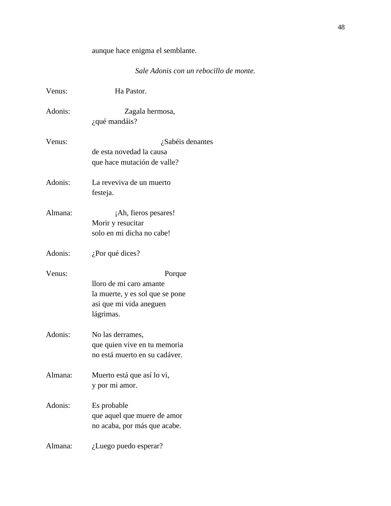# aunque hace enigma el semblante.

# *Sale Adonis con un rebocillo de monte.*

| Venus:  | Ha Pastor.                                                                                                   |
|---------|--------------------------------------------------------------------------------------------------------------|
| Adonis: | Zagala hermosa,<br>¿qué mandáis?                                                                             |
| Venus:  | ¿Sabéis denantes<br>de esta novedad la causa<br>que hace mutación de valle?                                  |
| Adonis: | La reveviva de un muerto<br>festeja.                                                                         |
| Almana: | ¡Ah, fieros pesares!<br>Morir y resucitar<br>solo en mi dicha no cabe!                                       |
| Adonis: | $i$ Por qué dices?                                                                                           |
| Venus:  | Porque<br>lloro de mi caro amante<br>la muerte, y es sol que se pone<br>asi que mi vida aneguen<br>lágrimas. |
| Adonis: | No las derrames,<br>que quien vive en tu memoria<br>no está muerto en su cadáver.                            |
| Almana: | Muerto está que así lo vi,<br>y por mi amor.                                                                 |
| Adonis: | Es probable<br>que aquel que muere de amor<br>no acaba, por más que acabe.                                   |
| Almana: | ¿Luego puedo esperar?                                                                                        |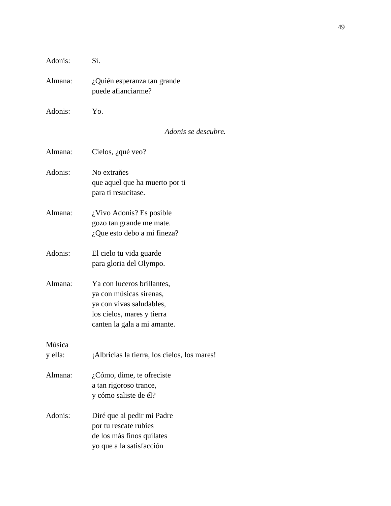| Adonis:           | Sí.                                                                                                                                            |
|-------------------|------------------------------------------------------------------------------------------------------------------------------------------------|
| Almana:           | ¿Quién esperanza tan grande<br>puede afianciarme?                                                                                              |
| Adonis:           | Y <sub>0</sub> .                                                                                                                               |
|                   | Adonis se descubre.                                                                                                                            |
| Almana:           | Cielos, $i$ qué veo?                                                                                                                           |
| Adonis:           | No extrañes<br>que aquel que ha muerto por ti<br>para ti resucitase.                                                                           |
| Almana:           | $i$ Vivo Adonis? Es posible<br>gozo tan grande me mate.<br>$i$ Que esto debo a mi fineza?                                                      |
| Adonis:           | El cielo tu vida guarde<br>para gloria del Olympo.                                                                                             |
| Almana:           | Ya con luceros brillantes,<br>ya con músicas sirenas,<br>ya con vivas saludables,<br>los cielos, mares y tierra<br>canten la gala a mi amante. |
| Música<br>y ella: | ¡Albricias la tierra, los cielos, los mares!                                                                                                   |
| Almana:           | ¿Cómo, dime, te ofreciste<br>a tan rigoroso trance,<br>y cómo saliste de él?                                                                   |
| Adonis:           | Diré que al pedir mi Padre<br>por tu rescate rubies<br>de los más finos quilates<br>yo que a la satisfacción                                   |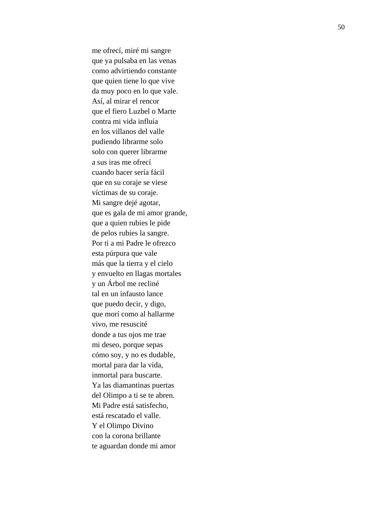me ofrecí, miré mi sangre que ya pulsaba en las venas como advirtiendo constante que quien tiene lo que vive da muy poco en lo que vale. Así, al mirar el rencor que el fiero Luzbel o Marte contra mi vida influía en los villanos del valle pudiendo librarme solo solo con querer librarme a sus iras me ofrecí cuando hacer sería fácil que en su coraje se viese víctimas de su coraje. Mi sangre dejé agotar, que es gala de mi amor grande, que a quien rubies le pide de pelos rubíes la sangre . Por ti a mi Padre le ofrezco esta púrpura que vale más que la tierra y el cielo y envuelto en llagas mortales y un Árbol me recliné tal en un infausto lance que puedo decir, y digo, que morí como al hallarme vivo, me resuscité donde a tus ojos me trae mi deseo, porque sepas cómo soy, y no es dudable, mortal para dar la vida, inmortal para buscarte. Ya las diamantinas puertas del Olimpo a ti se te abren. Mi Padre está satisfecho, está rescatado el valle. Y el Olimpo Divino con la corona brillante te aguardan donde mi amor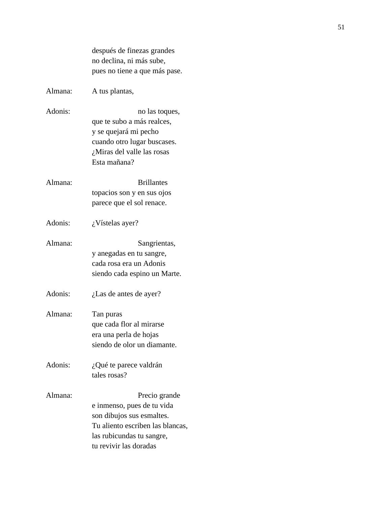|         | después de finezas grandes        |  |  |  |  |
|---------|-----------------------------------|--|--|--|--|
|         | no declina, ni más sube,          |  |  |  |  |
|         | pues no tiene a que más pase.     |  |  |  |  |
| Almana: | A tus plantas,                    |  |  |  |  |
| Adonis: | no las toques,                    |  |  |  |  |
|         | que te subo a más realces,        |  |  |  |  |
|         | y se quejará mi pecho             |  |  |  |  |
|         | cuando otro lugar buscases.       |  |  |  |  |
|         | ¿Miras del valle las rosas        |  |  |  |  |
|         | Esta mañana?                      |  |  |  |  |
| Almana: | <b>Brillantes</b>                 |  |  |  |  |
|         | topacios son y en sus ojos        |  |  |  |  |
|         | parece que el sol renace.         |  |  |  |  |
| Adonis: | ¿Vístelas ayer?                   |  |  |  |  |
| Almana: | Sangrientas,                      |  |  |  |  |
|         | y anegadas en tu sangre,          |  |  |  |  |
|         | cada rosa era un Adonis           |  |  |  |  |
|         | siendo cada espino un Marte.      |  |  |  |  |
| Adonis: | $\lambda$ . Las de antes de ayer? |  |  |  |  |
| Almana: | Tan puras                         |  |  |  |  |
|         | que cada flor al mirarse          |  |  |  |  |
|         | era una perla de hojas            |  |  |  |  |
|         | siendo de olor un diamante.       |  |  |  |  |
| Adonis: | ¿Qué te parece valdrán            |  |  |  |  |
|         | tales rosas?                      |  |  |  |  |
| Almana: | Precio grande                     |  |  |  |  |
|         | e inmenso, pues de tu vida        |  |  |  |  |
|         | son dibujos sus esmaltes.         |  |  |  |  |
|         | Tu aliento escriben las blancas,  |  |  |  |  |
|         | las rubicundas tu sangre,         |  |  |  |  |
|         | tu revivir las doradas            |  |  |  |  |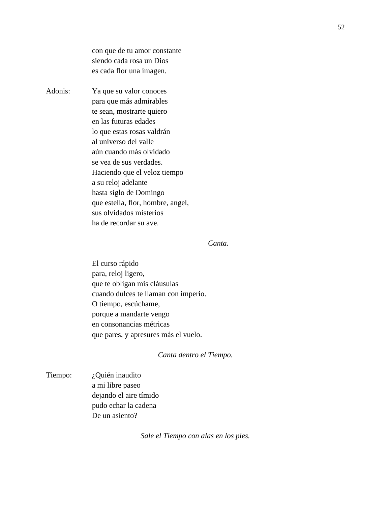con que de tu amor constante siendo cada rosa un Dios es cada flor una imagen.

Adonis: Ya que su valor conoces para que más admirables te sean, mostrarte quiero en las futuras edades lo que estas rosas valdrán al universo del valle aún cuando más olvidado se vea de sus verdades. Haciendo que el veloz tiempo a su reloj adelante hasta siglo de Domingo que estella, flor, hombre, angel, sus olvidados misterios ha de recordar su ave.

#### *Canta.*

El curso rápido para, reloj ligero, que te obligan mis cláusulas cuando dulces te llaman con imperio. O tiempo, escúchame, porque a mandarte vengo en consonancias métricas que pares, y apresures más el vuelo.

#### *Canta dentro el Tiempo.*

Tiempo: ¿Quién inaudito a mi libre paseo dejando el aire tímido pudo echar la cadena De un asiento?

*Sale el Tiempo con alas en los pies.*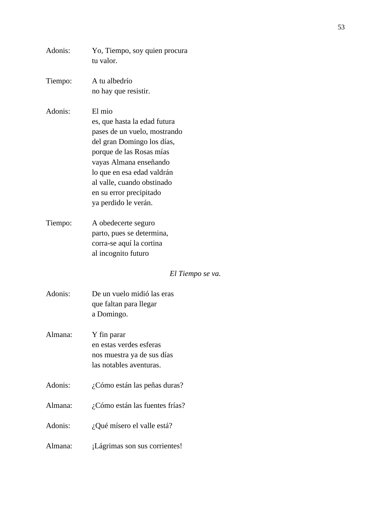| Adonis: | Yo, Tiempo, soy quien procura<br>tu valor.                                                                                                                                                                                                                                |
|---------|---------------------------------------------------------------------------------------------------------------------------------------------------------------------------------------------------------------------------------------------------------------------------|
| Tiempo: | A tu albedrío<br>no hay que resistir.                                                                                                                                                                                                                                     |
| Adonis: | El mio<br>es, que hasta la edad futura<br>pases de un vuelo, mostrando<br>del gran Domingo los días,<br>porque de las Rosas mías<br>vayas Almana enseñando<br>lo que en esa edad valdrán<br>al valle, cuando obstinado<br>en su error precipitado<br>ya perdido le verán. |
| Tiempo: | A obedecerte seguro<br>parto, pues se determina,<br>corra-se aquí la cortina<br>al incognito futuro                                                                                                                                                                       |
|         | El Tiempo se va.                                                                                                                                                                                                                                                          |
| Adonis: | De un vuelo midió las eras<br>que faltan para llegar<br>a Domingo.                                                                                                                                                                                                        |
| Almana: | Y fin parar<br>en estas verdes esferas<br>nos muestra ya de sus días<br>las notables aventuras.                                                                                                                                                                           |
| Adonis: | ¿Cómo están las peñas duras?                                                                                                                                                                                                                                              |
| Almana: | ¿Cómo están las fuentes frías?                                                                                                                                                                                                                                            |
| Adonis: | ¿Qué mísero el valle está?                                                                                                                                                                                                                                                |
| Almana: | ¡Lágrimas son sus corrientes!                                                                                                                                                                                                                                             |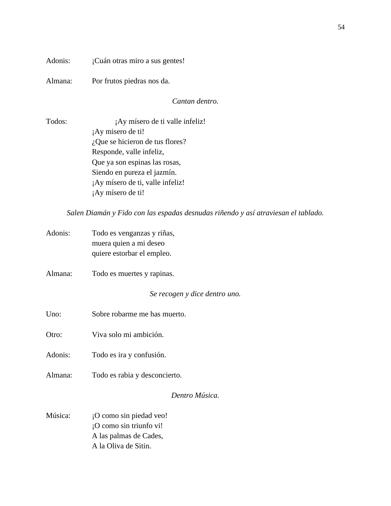| Adonis: |  |  |  |  |  | ¡Cuán otras miro a sus gentes! |  |
|---------|--|--|--|--|--|--------------------------------|--|
|---------|--|--|--|--|--|--------------------------------|--|

Almana: Por frutos piedras nos da.

# *Cantan dentro.*

Todos: ¡Ay mísero de ti valle infeliz! ¡Ay misero de ti! ¿Que se hicieron de tus flores? Responde, valle infeliz, Que ya son espinas las rosas, Siendo en pureza el jazmín. ¡Ay mísero de ti, valle infeliz! ¡Ay mísero de ti!

*Salen Diamán y Fido con las espadas desnudas riñendo y así atraviesan el tablado.*

| Adonis: | Todo es venganzas y riñas,<br>muera quien a mi deseo<br>quiere estorbar el empleo.                   |
|---------|------------------------------------------------------------------------------------------------------|
| Almana: | Todo es muertes y rapinas.                                                                           |
|         | Se recogen y dice dentro uno.                                                                        |
| Uno:    | Sobre robarme me has muerto.                                                                         |
| Otro:   | Viva solo mi ambición.                                                                               |
| Adonis: | Todo es ira y confusión.                                                                             |
| Almana: | Todo es rabia y desconcierto.                                                                        |
|         | Dentro Música.                                                                                       |
| Música: | ¡O como sin piedad veo!<br>¡O como sin triunfo vi!<br>A las palmas de Cades,<br>A la Oliva de Sitin. |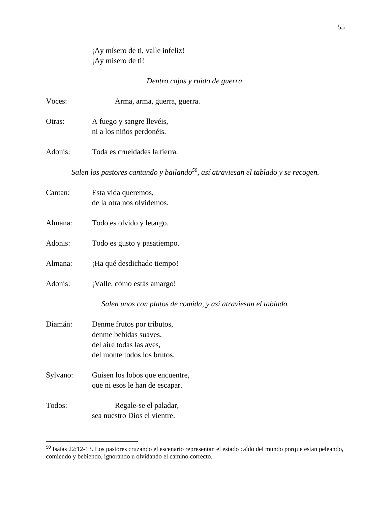¡Ay mísero de ti, valle infeliz! ¡Ay mísero de ti!

# *Dentro cajas y ruido de guerra.*

| Voces:                                                                                         | Arma, arma, guerra, guerra.                                   |  |
|------------------------------------------------------------------------------------------------|---------------------------------------------------------------|--|
| Otras:                                                                                         | A fuego y sangre llevéis,                                     |  |
|                                                                                                | ni a los niños perdonéis.                                     |  |
| Adonis:                                                                                        | Toda es crueldades la tierra.                                 |  |
| Salen los pastores cantando y bailando <sup>50</sup> , así atraviesan el tablado y se recogen. |                                                               |  |
| Cantan:                                                                                        | Esta vida queremos,                                           |  |
|                                                                                                | de la otra nos olvidemos.                                     |  |
| Almana:                                                                                        | Todo es olvido y letargo.                                     |  |
| Adonis:                                                                                        | Todo es gusto y pasatiempo.                                   |  |
| Almana:                                                                                        | ¡Ha qué desdichado tiempo!                                    |  |
| Adonis:                                                                                        | ¡Valle, cómo estás amargo!                                    |  |
|                                                                                                | Salen unos con platos de comida, y así atraviesan el tablado. |  |
| Diamán:                                                                                        | Denme frutos por tributos,                                    |  |
|                                                                                                | denme bebidas suaves,                                         |  |
|                                                                                                | del aire todas las aves,                                      |  |
|                                                                                                | del monte todos los brutos.                                   |  |
| Sylvano:                                                                                       | Guisen los lobos que encuentre,                               |  |
|                                                                                                | que ni esos le han de escapar.                                |  |
| Todos:                                                                                         | Regale-se el paladar,                                         |  |
|                                                                                                | sea nuestro Dios el vientre.                                  |  |

<sup>&</sup>lt;sup>50</sup> Isaías 22:12-13. Los pastores cruzando el escenario representan el estado caído del mundo porque estan peleando, comiendo y bebiendo, ignorando u olvidando el camino correcto.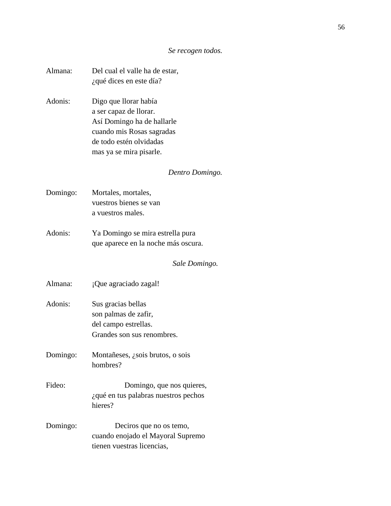| Almana:  | Del cual el valle ha de estar,<br>¿qué dices en este día? |
|----------|-----------------------------------------------------------|
| Adonis:  | Digo que llorar había                                     |
|          | a ser capaz de llorar.                                    |
|          | Así Domingo ha de hallarle                                |
|          | cuando mis Rosas sagradas                                 |
|          | de todo estén olvidadas                                   |
|          | mas ya se mira pisarle.                                   |
|          | Dentro Domingo.                                           |
| Domingo: | Mortales, mortales,                                       |
|          | vuestros bienes se van                                    |
|          | a vuestros males.                                         |
| Adonis:  | Ya Domingo se mira estrella pura                          |
|          | que aparece en la noche más oscura.                       |
|          | Sale Domingo.                                             |
| Almana:  | ¡Que agraciado zagal!                                     |
| Adonis:  | Sus gracias bellas                                        |
|          | son palmas de zafir,                                      |
|          | del campo estrellas.                                      |
|          | Grandes son sus renombres.                                |
| Domingo: | Montañeses, ¿sois brutos, o sois                          |
|          | hombres?                                                  |
| Fideo:   | Domingo, que nos quieres,                                 |
|          | ¿qué en tus palabras nuestros pechos                      |
|          | hieres?                                                   |
| Domingo: | Deciros que no os temo,                                   |
|          | cuando enojado el Mayoral Supremo                         |
|          | tienen vuestras licencias,                                |
|          |                                                           |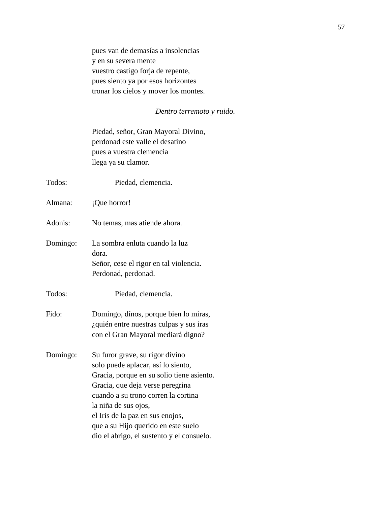pues van de demasías a insolencias y en su severa mente vuestro castigo forja de repente, pues siento ya por esos horizontes tronar los cielos y mover los montes.

# *Dentro terremoto y ruido.*

Piedad, señor, Gran Mayoral Divino, perdonad este valle el desatino pues a vuestra clemencia llega ya su clamor.

| Todos:   | Piedad, clemencia.                                                                                                                                                                                                                                                                                                                            |
|----------|-----------------------------------------------------------------------------------------------------------------------------------------------------------------------------------------------------------------------------------------------------------------------------------------------------------------------------------------------|
| Almana:  | ¡Que horror!                                                                                                                                                                                                                                                                                                                                  |
| Adonis:  | No temas, mas atiende ahora.                                                                                                                                                                                                                                                                                                                  |
| Domingo: | La sombra enluta cuando la luz<br>dora.<br>Señor, cese el rigor en tal violencia.<br>Perdonad, perdonad.                                                                                                                                                                                                                                      |
| Todos:   | Piedad, clemencia.                                                                                                                                                                                                                                                                                                                            |
| Fido:    | Domingo, dínos, porque bien lo miras,<br>¿quién entre nuestras culpas y sus iras<br>con el Gran Mayoral mediará digno?                                                                                                                                                                                                                        |
| Domingo: | Su furor grave, su rigor divino<br>solo puede aplacar, así lo siento,<br>Gracia, porque en su solio tiene asiento.<br>Gracia, que deja verse peregrina<br>cuando a su trono corren la cortina<br>la niña de sus ojos,<br>el Iris de la paz en sus enojos,<br>que a su Hijo querido en este suelo<br>dio el abrigo, el sustento y el consuelo. |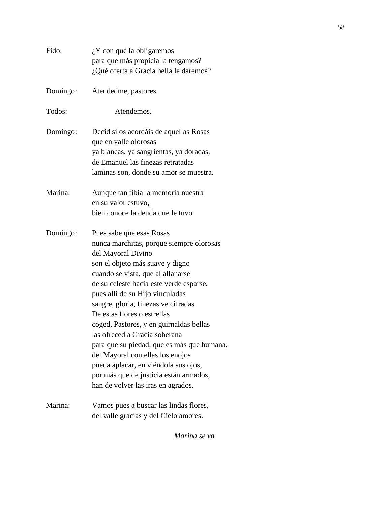| Fido:    | $i$ , Y con qué la obligaremos                                                                                                                                                                                                                                                                                                                                                                                                                                                                                                                                                                                |
|----------|---------------------------------------------------------------------------------------------------------------------------------------------------------------------------------------------------------------------------------------------------------------------------------------------------------------------------------------------------------------------------------------------------------------------------------------------------------------------------------------------------------------------------------------------------------------------------------------------------------------|
|          | para que más propicia la tengamos?                                                                                                                                                                                                                                                                                                                                                                                                                                                                                                                                                                            |
|          | ¿Qué oferta a Gracia bella le daremos?                                                                                                                                                                                                                                                                                                                                                                                                                                                                                                                                                                        |
| Domingo: | Atendedme, pastores.                                                                                                                                                                                                                                                                                                                                                                                                                                                                                                                                                                                          |
| Todos:   | Atendemos.                                                                                                                                                                                                                                                                                                                                                                                                                                                                                                                                                                                                    |
| Domingo: | Decid si os acordáis de aquellas Rosas<br>que en valle olorosas<br>ya blancas, ya sangrientas, ya doradas,<br>de Emanuel las finezas retratadas<br>laminas son, donde su amor se muestra.                                                                                                                                                                                                                                                                                                                                                                                                                     |
| Marina:  | Aunque tan tibia la memoria nuestra<br>en su valor estuvo,<br>bien conoce la deuda que le tuvo.                                                                                                                                                                                                                                                                                                                                                                                                                                                                                                               |
| Domingo: | Pues sabe que esas Rosas<br>nunca marchitas, porque siempre olorosas<br>del Mayoral Divino<br>son el objeto más suave y digno<br>cuando se vista, que al allanarse<br>de su celeste hacia este verde esparse,<br>pues allí de su Hijo vinculadas<br>sangre, gloria, finezas ve cifradas.<br>De estas flores o estrellas<br>coged, Pastores, y en guirnaldas bellas<br>las ofreced a Gracia soberana<br>para que su piedad, que es más que humana,<br>del Mayoral con ellas los enojos<br>pueda aplacar, en viéndola sus ojos,<br>por más que de justicia están armados,<br>han de volver las iras en agrados. |
| Marina:  | Vamos pues a buscar las lindas flores,<br>del valle gracias y del Cielo amores.                                                                                                                                                                                                                                                                                                                                                                                                                                                                                                                               |

*Marina se va.*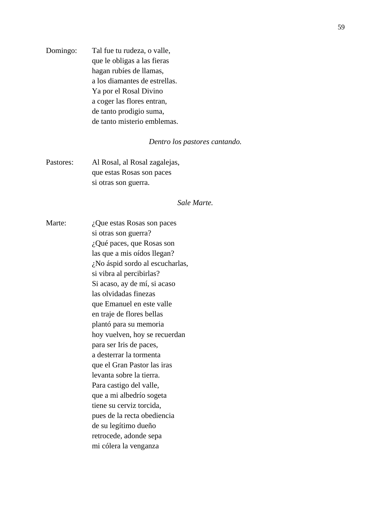Domingo: Tal fue tu rudeza, o valle, que le obligas a las fieras hagan rubíes de llamas, a los diamantes de estrellas. Ya por el Rosal Divino a coger las flores entran, de tanto prodigio suma, de tanto misterio emblemas.

#### *Dentro los pastores cantando.*

Pastores: Al Rosal, al Rosal zagalejas, que estas Rosas son paces si otras son guerra.

#### *Sale Marte.*

Marte:  $i$ , Que estas Rosas son paces si otras son guerra? ¿Qué paces, que Rosas son las que a mis oídos llegan? ¿No áspid sordo al escucharlas, si vibra al percibirlas? Si acaso, ay de mí, si acaso las olvidadas finezas que Emanuel en este valle en traje de flores bellas plantó para su memoria hoy vuelven, hoy se recuerdan para ser Iris de paces, a desterrar la tormenta que el Gran Pastor las iras levanta sobre la tierra. Para castigo del valle, que a mi albedrío sogeta tiene su cerviz torcida, pues de la recta obediencia de su legítimo dueño retrocede, adonde sepa mi cólera la venganza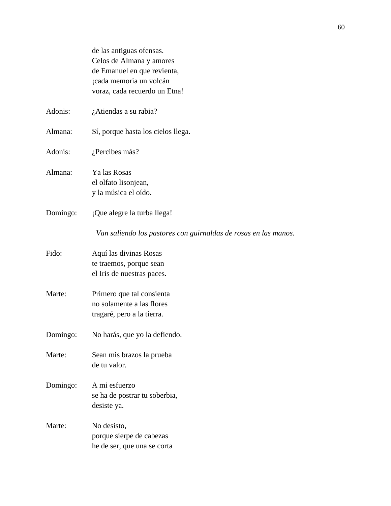|          | de las antiguas ofensas.                                        |
|----------|-----------------------------------------------------------------|
|          | Celos de Almana y amores                                        |
|          | de Emanuel en que revienta,                                     |
|          | ¡cada memoria un volcán                                         |
|          | voraz, cada recuerdo un Etna!                                   |
| Adonis:  | ¿Atiendas a su rabia?                                           |
| Almana:  | Sí, porque hasta los cielos llega.                              |
| Adonis:  | $i$ Percibes más?                                               |
| Almana:  | Ya las Rosas                                                    |
|          | el olfato lisonjean,                                            |
|          | y la música el oído.                                            |
|          |                                                                 |
| Domingo: | ¡Que alegre la turba llega!                                     |
|          |                                                                 |
|          | Van saliendo los pastores con guirnaldas de rosas en las manos. |
| Fido:    | Aquí las divinas Rosas                                          |
|          | te traemos, porque sean                                         |
|          | el Iris de nuestras paces.                                      |
|          |                                                                 |
| Marte:   | Primero que tal consienta                                       |
|          | no solamente a las flores                                       |
|          | tragaré, pero a la tierra.                                      |
| Domingo: | No harás, que yo la defiendo.                                   |
|          |                                                                 |
| Marte:   | Sean mis brazos la prueba                                       |
|          | de tu valor.                                                    |
|          |                                                                 |
| Domingo: | A mi esfuerzo                                                   |
|          | se ha de postrar tu soberbia,                                   |
|          | desiste ya.                                                     |
|          |                                                                 |
| Marte:   | No desisto,                                                     |
|          |                                                                 |
|          | porque sierpe de cabezas<br>he de ser, que una se corta         |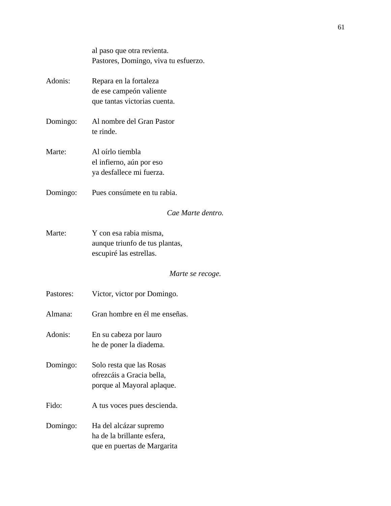|           | al paso que otra revienta.<br>Pastores, Domingo, viva tu esfuerzo.                  |
|-----------|-------------------------------------------------------------------------------------|
| Adonis:   | Repara en la fortaleza<br>de ese campeón valiente<br>que tantas victorias cuenta.   |
| Domingo:  | Al nombre del Gran Pastor<br>te rinde.                                              |
| Marte:    | Al oírlo tiembla<br>el infierno, aún por eso<br>ya desfallece mi fuerza.            |
| Domingo:  | Pues consúmete en tu rabia.                                                         |
|           | Cae Marte dentro.                                                                   |
| Marte:    | Y con esa rabia misma,<br>aunque triunfo de tus plantas,<br>escupiré las estrellas. |
|           | Marte se recoge.                                                                    |
| Pastores: | Victor, victor por Domingo.                                                         |
| Almana:   | Gran hombre en él me enseñas.                                                       |
| Adonis:   | En su cabeza por lauro<br>he de poner la diadema.                                   |
| Domingo:  | Solo resta que las Rosas<br>ofrezcáis a Gracia bella,<br>porque al Mayoral aplaque. |
| Fido:     | A tus voces pues descienda.                                                         |
| Domingo:  | Ha del alcázar supremo<br>ha de la brillante esfera,<br>que en puertas de Margarita |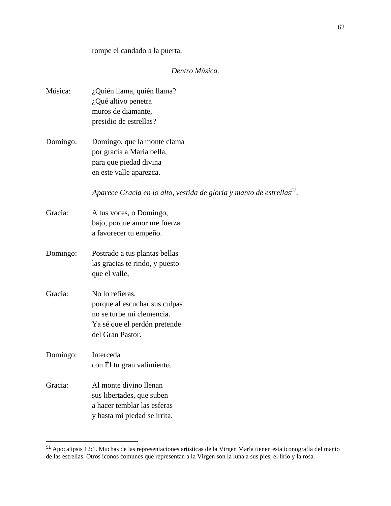rompe el candado a la puerta.

## *Dentro Música.*

| Música:  | ¿Quién llama, quién llama?                                                        |
|----------|-----------------------------------------------------------------------------------|
|          | ¿Qué altivo penetra                                                               |
|          | muros de diamante,                                                                |
|          | presidio de estrellas?                                                            |
| Domingo: | Domingo, que la monte clama                                                       |
|          | por gracia a María bella,                                                         |
|          | para que piedad divina                                                            |
|          | en este valle aparezca.                                                           |
|          | Aparece Gracia en lo alto, vestida de gloria y manto de estrellas <sup>51</sup> . |
| Gracia:  | A tus voces, o Domingo,                                                           |
|          | bajo, porque amor me fuerza                                                       |
|          | a favorecer tu empeño.                                                            |
| Domingo: | Postrado a tus plantas bellas                                                     |
|          | las gracias te rindo, y puesto                                                    |
|          | que el valle,                                                                     |
| Gracia:  | No lo refieras,                                                                   |
|          | porque al escuchar sus culpas                                                     |
|          | no se turbe mi clemencia.                                                         |
|          | Ya sé que el perdón pretende                                                      |
|          | del Gran Pastor.                                                                  |
| Domingo: | Interceda                                                                         |
|          | con Él tu gran valimiento.                                                        |
| Gracia:  | Al monte divino llenan                                                            |
|          | sus libertades, que suben                                                         |
|          | a hacer temblar las esferas                                                       |
|          | y hasta mi piedad se irrita.                                                      |
|          |                                                                                   |

<sup>&</sup>lt;sup>51</sup> Apocalipsis 12:1. Muchas de las representaciones artísticas de la Virgen María tienen esta iconografía del manto de las estrellas. Otros iconos comunes que representan a la Virgen son la luna a sus pies, el lirio y la rosa.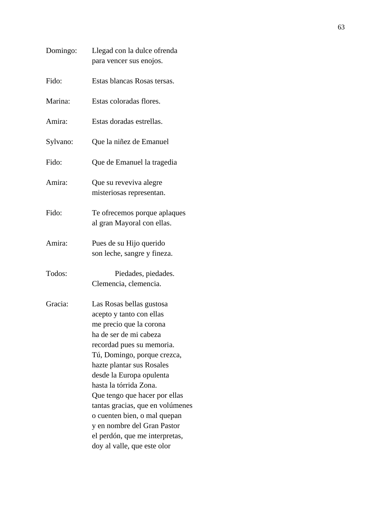| Domingo: | Llegad con la dulce ofrenda<br>para vencer sus enojos.                                                                                                                                                                                                                                                                                                                                                                                                        |
|----------|---------------------------------------------------------------------------------------------------------------------------------------------------------------------------------------------------------------------------------------------------------------------------------------------------------------------------------------------------------------------------------------------------------------------------------------------------------------|
| Fido:    | Estas blancas Rosas tersas.                                                                                                                                                                                                                                                                                                                                                                                                                                   |
| Marina:  | Estas coloradas flores.                                                                                                                                                                                                                                                                                                                                                                                                                                       |
| Amira:   | Estas doradas estrellas.                                                                                                                                                                                                                                                                                                                                                                                                                                      |
| Sylvano: | Que la niñez de Emanuel                                                                                                                                                                                                                                                                                                                                                                                                                                       |
| Fido:    | Que de Emanuel la tragedia                                                                                                                                                                                                                                                                                                                                                                                                                                    |
| Amira:   | Que su reveviva alegre<br>misteriosas representan.                                                                                                                                                                                                                                                                                                                                                                                                            |
| Fido:    | Te ofrecemos porque aplaques<br>al gran Mayoral con ellas.                                                                                                                                                                                                                                                                                                                                                                                                    |
| Amira:   | Pues de su Hijo querido<br>son leche, sangre y fineza.                                                                                                                                                                                                                                                                                                                                                                                                        |
| Todos:   | Piedades, piedades.<br>Clemencia, clemencia.                                                                                                                                                                                                                                                                                                                                                                                                                  |
| Gracia:  | Las Rosas bellas gustosa<br>acepto y tanto con ellas<br>me precio que la corona<br>ha de ser de mi cabeza<br>recordad pues su memoria.<br>Tú, Domingo, porque crezca,<br>hazte plantar sus Rosales<br>desde la Europa opulenta<br>hasta la tórrida Zona.<br>Que tengo que hacer por ellas<br>tantas gracias, que en volúmenes<br>o cuenten bien, o mal quepan<br>y en nombre del Gran Pastor<br>el perdón, que me interpretas,<br>doy al valle, que este olor |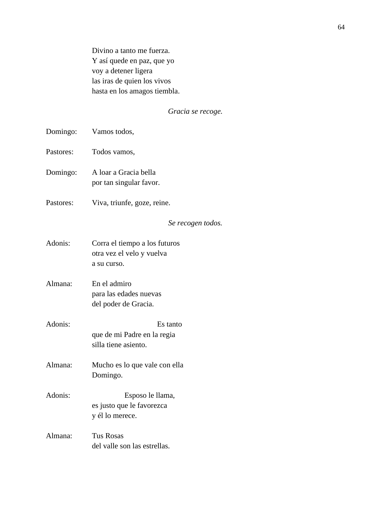Divino a tanto me fuerza. Y así quede en paz, que yo voy a detener ligera las iras de quien los vivos hasta en los amagos tiembla.

*Gracia se recoge.*

| Domingo:  | Vamos todos,                  |
|-----------|-------------------------------|
| Pastores: | Todos vamos,                  |
| Domingo:  | A loar a Gracia bella         |
|           | por tan singular favor.       |
| Pastores: | Viva, triunfe, goze, reine.   |
|           | Se recogen todos.             |
| Adonis:   | Corra el tiempo a los futuros |
|           | otra vez el velo y vuelva     |
|           | a su curso.                   |
| Almana:   | En el admiro                  |
|           | para las edades nuevas        |
|           | del poder de Gracia.          |
| Adonis:   | Es tanto                      |
|           | que de mi Padre en la regia   |
|           | silla tiene asiento.          |
| Almana:   | Mucho es lo que vale con ella |
|           | Domingo.                      |
| Adonis:   | Esposo le llama,              |
|           | es justo que le favorezca     |
|           | y él lo merece.               |
| Almana:   | <b>Tus Rosas</b>              |
|           | del valle son las estrellas.  |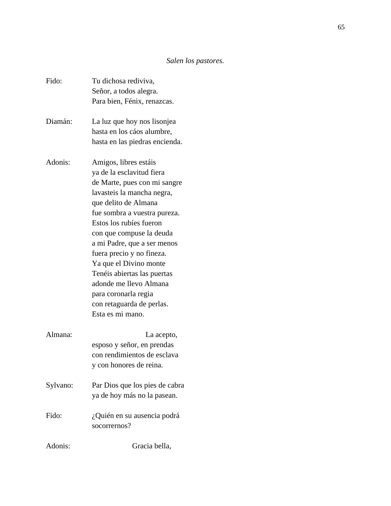# *Salen los pastores.*

| Fido:    | Tu dichosa rediviva,           |
|----------|--------------------------------|
|          | Señor, a todos alegra.         |
|          | Para bien, Fénix, renazcas.    |
| Diamán:  | La luz que hoy nos lisonjea    |
|          | hasta en los cáos alumbre,     |
|          | hasta en las piedras encienda. |
| Adonis:  | Amigos, libres estáis          |
|          | ya de la esclavitud fiera      |
|          | de Marte, pues con mi sangre   |
|          | lavasteis la mancha negra,     |
|          | que delito de Almana           |
|          | fue sombra a vuestra pureza.   |
|          | Estos los rubíes fueron        |
|          | con que compuse la deuda       |
|          | a mi Padre, que a ser menos    |
|          | fuera precio y no fineza.      |
|          | Ya que el Divino monte         |
|          | Tenéis abiertas las puertas    |
|          | adonde me llevo Almana         |
|          | para coronarla regia           |
|          | con retaguarda de perlas.      |
|          | Esta es mi mano.               |
| Almana:  | La acepto,                     |
|          | esposo y señor, en prendas     |
|          | con rendimientos de esclava    |
|          | y con honores de reina.        |
| Sylvano: | Par Dios que los pies de cabra |
|          | ya de hoy más no la pasean.    |
| Fido:    | ¿Quién en su ausencia podrá    |
|          | socorrernos?                   |
| Adonis:  | Gracia bella,                  |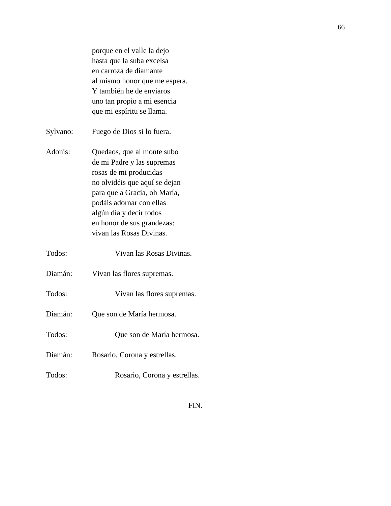|          | porque en el valle la dejo<br>hasta que la suba excelsa<br>en carroza de diamante |
|----------|-----------------------------------------------------------------------------------|
|          | al mismo honor que me espera.                                                     |
|          | Y también he de enviaros                                                          |
|          | uno tan propio a mi esencia                                                       |
|          | que mi espíritu se llama.                                                         |
|          |                                                                                   |
| Sylvano: | Fuego de Dios si lo fuera.                                                        |
| Adonis:  | Quedaos, que al monte subo                                                        |
|          | de mi Padre y las supremas                                                        |
|          | rosas de mi producidas                                                            |
|          | no olvidéis que aquí se dejan                                                     |
|          | para que a Gracia, oh María,                                                      |
|          | podáis adornar con ellas                                                          |
|          | algún día y decir todos                                                           |
|          | en honor de sus grandezas:                                                        |
|          | vivan las Rosas Divinas.                                                          |
| Todos:   | Vivan las Rosas Divinas.                                                          |
| Diamán:  | Vivan las flores supremas.                                                        |
| Todos:   | Vivan las flores supremas.                                                        |
| Diamán:  | Que son de María hermosa.                                                         |
| Todos:   | Que son de María hermosa.                                                         |
| Diamán:  | Rosario, Corona y estrellas.                                                      |
| Todos:   | Rosario, Corona y estrellas.                                                      |

FIN.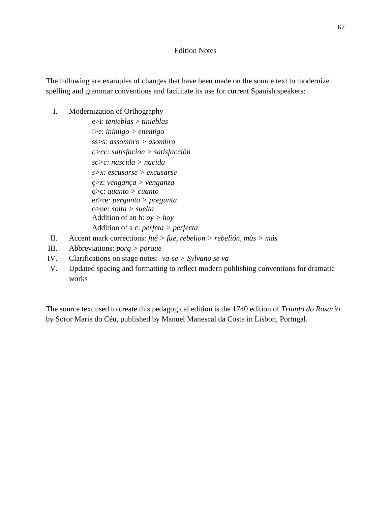#### Edition Notes

The following are examples of changes that have been made on the source text to modernize spelling and grammar conventions and facilitate its use for current Spanish speakers:

- I. Modernization of Orthography
	- e>i: *tenieblas* > *tinieblas*  i>e: *inimigo > enemigo*  ss>s*: assombro > asombro c>cc: satisfacion > satisfacción sc>c: nascida > nacida s>x: escusarse > excusarse*  ç>z: *vengança > venganza*  q>c: *quanto > cuanto*  er>re*: pergunta > pregunta*  o>ue*: solta > suelta* Addition of an h: *oy > hoy* Addition of a c: *perfeta > perfecta*
- II. Accent mark corrections: *fué > fue, rebelion > rebelión, màs > más*
- III. Abbreviations: *porq > porque*
- IV. Clarifications on stage notes: *va-se > Sylvano se va*
- V. Updated spacing and formatting to reflect modern publishing conventions for dramatic works

The source text used to create this pedagogical edition is the 1740 edition of *Triunfo do Rosario* by Soror Maria do Céu, published by Manuel Manescal da Costa in Lisbon, Portugal.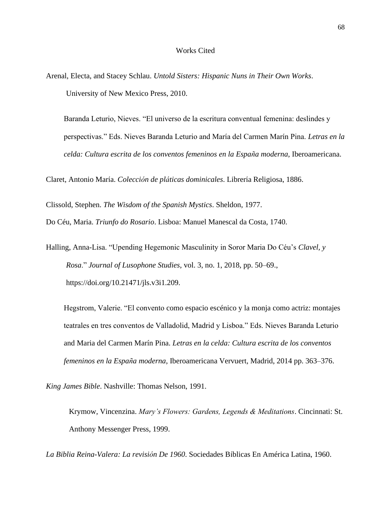#### Works Cited

Arenal, Electa, and Stacey Schlau. *Untold Sisters: Hispanic Nuns in Their Own Works*. University of New Mexico Press, 2010.

Baranda Leturio, Nieves. "El universo de la escritura conventual femenina: deslindes y perspectivas." Eds. Nieves Baranda Leturio and María del Carmen Marín Pina. *Letras en la celda: Cultura escrita de los conventos femeninos en la España moderna*, Iberoamericana.

Claret, Antonio María. *Colección de pláticas dominicales*. Librería Religiosa, 1886.

Clissold, Stephen. *The Wisdom of the Spanish Mystics*. Sheldon, 1977.

Do Céu, Maria. *Triunfo do Rosario*. Lisboa: Manuel Manescal da Costa, 1740.

Halling, Anna-Lisa. "Upending Hegemonic Masculinity in Soror Maria Do Céu's *Clavel, y Rosa*." *Journal of Lusophone Studies*, vol. 3, no. 1, 2018, pp. 50–69., https://doi.org/10.21471/jls.v3i1.209.

Hegstrom, Valerie. "El convento como espacio escénico y la monja como actriz: montajes teatrales en tres conventos de Valladolid, Madrid y Lisboa." Eds. Nieves Baranda Leturio and Maria del Carmen Marín Pina. *Letras en la celda: Cultura escrita de los conventos femeninos en la España moderna*, Iberoamericana Vervuert, Madrid, 2014 pp. 363–376.

*King James Bible*. Nashville: Thomas Nelson, 1991.

Krymow, Vincenzina. *Mary's Flowers: Gardens, Legends & Meditations*. Cincinnati: St. Anthony Messenger Press, 1999.

*La Biblia Reina-Valera: La revisión De 1960*. Sociedades Bíblicas En América Latina, 1960.